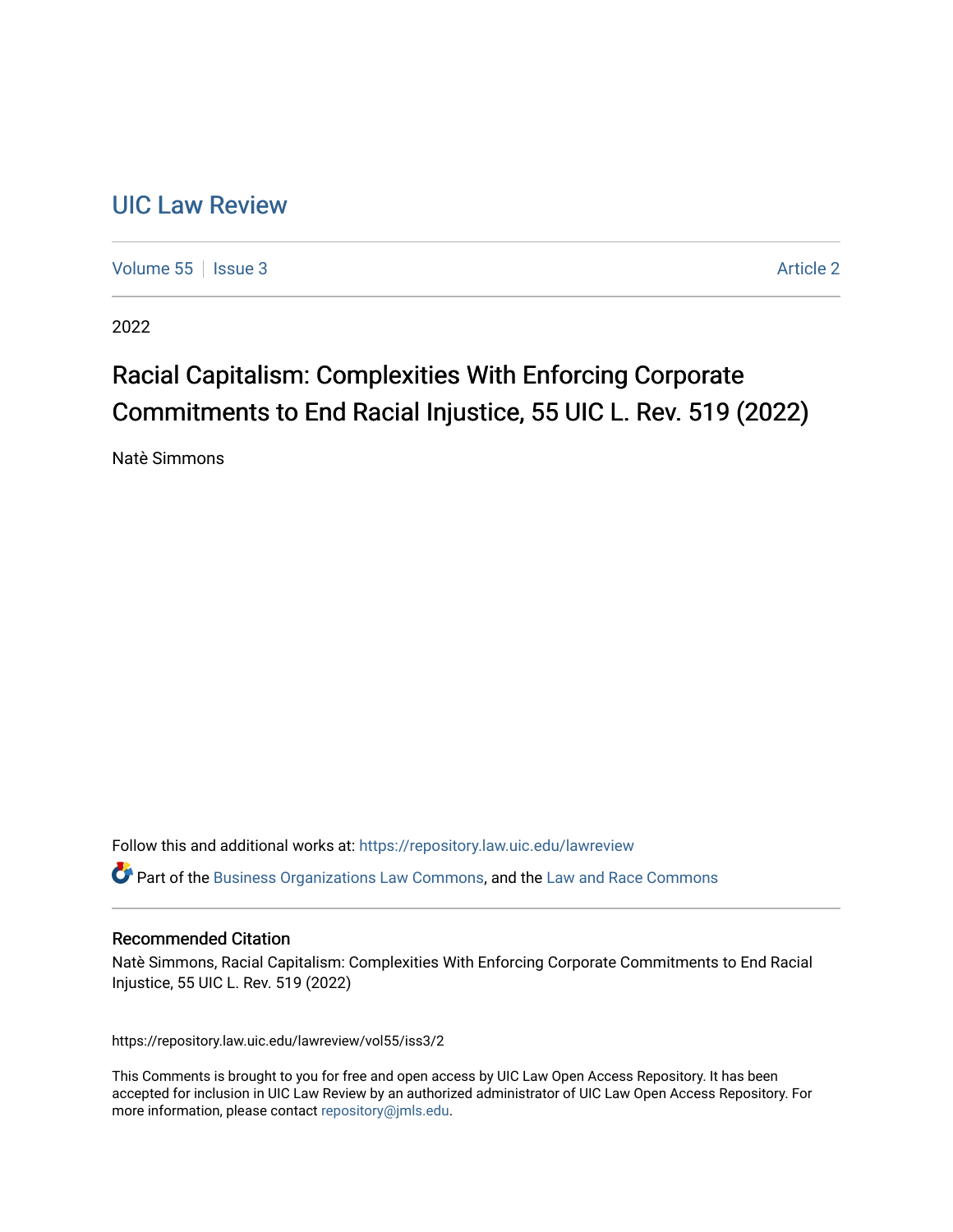# [UIC Law Review](https://repository.law.uic.edu/lawreview)

[Volume 55](https://repository.law.uic.edu/lawreview/vol55) | [Issue 3](https://repository.law.uic.edu/lawreview/vol55/iss3) Article 2

2022

# Racial Capitalism: Complexities With Enforcing Corporate Commitments to End Racial Injustice, 55 UIC L. Rev. 519 (2022)

Natè Simmons

Follow this and additional works at: [https://repository.law.uic.edu/lawreview](https://repository.law.uic.edu/lawreview?utm_source=repository.law.uic.edu%2Flawreview%2Fvol55%2Fiss3%2F2&utm_medium=PDF&utm_campaign=PDFCoverPages) 

**C** Part of the [Business Organizations Law Commons](https://network.bepress.com/hgg/discipline/900?utm_source=repository.law.uic.edu%2Flawreview%2Fvol55%2Fiss3%2F2&utm_medium=PDF&utm_campaign=PDFCoverPages), and the Law and Race Commons

#### Recommended Citation

Natè Simmons, Racial Capitalism: Complexities With Enforcing Corporate Commitments to End Racial Injustice, 55 UIC L. Rev. 519 (2022)

https://repository.law.uic.edu/lawreview/vol55/iss3/2

This Comments is brought to you for free and open access by UIC Law Open Access Repository. It has been accepted for inclusion in UIC Law Review by an authorized administrator of UIC Law Open Access Repository. For more information, please contact [repository@jmls.edu.](mailto:repository@jmls.edu)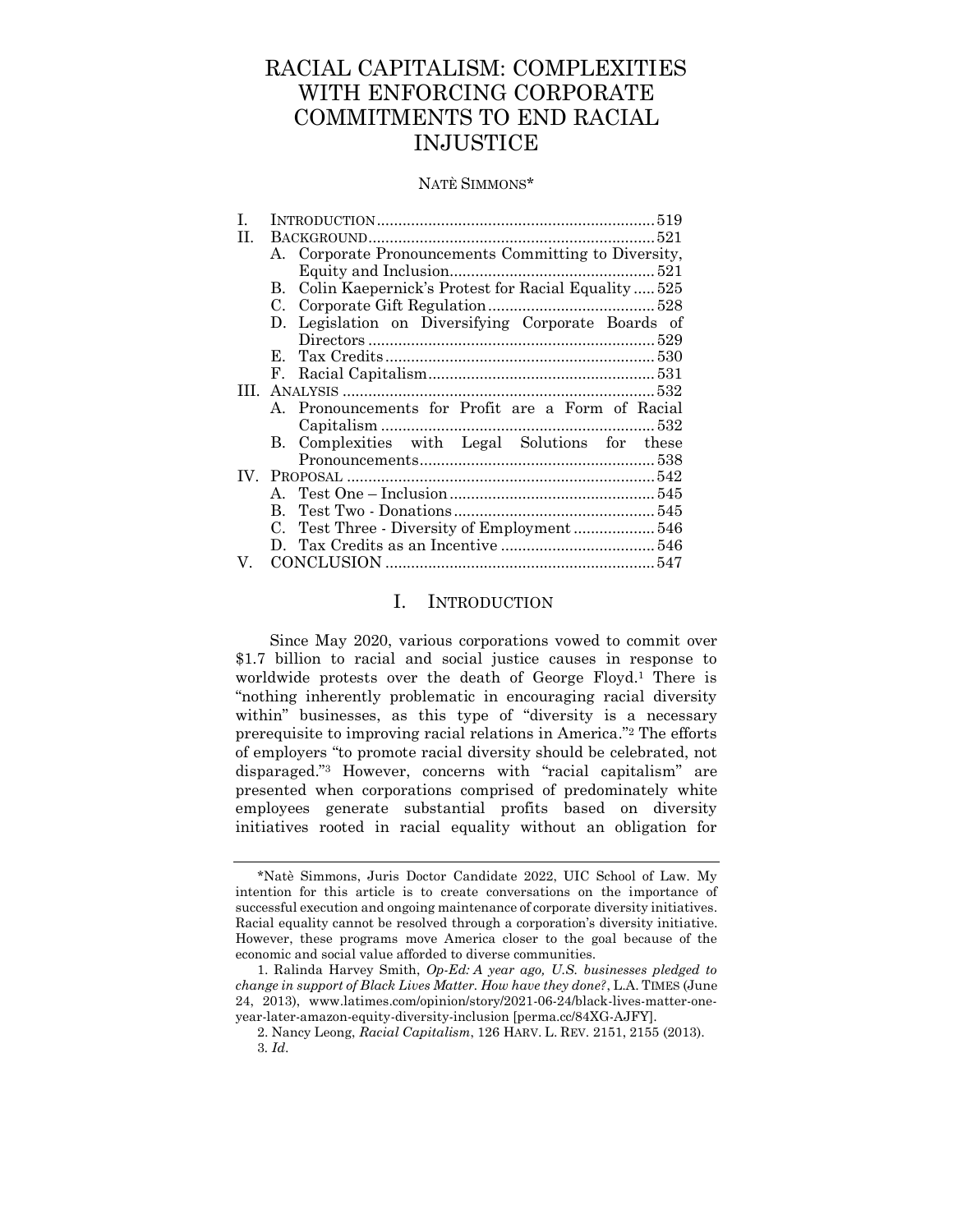## RACIAL CAPITALISM: COMPLEXITIES WITH ENFORCING CORPORATE COMMITMENTS TO END RACIAL INJUSTICE

#### NATÈ SIMMONS\*

| L    |              |                                                      |
|------|--------------|------------------------------------------------------|
| H.   |              |                                                      |
|      |              | A. Corporate Pronouncements Committing to Diversity, |
|      |              |                                                      |
|      | В.           | Colin Kaepernick's Protest for Racial Equality  525  |
|      |              |                                                      |
|      |              | D. Legislation on Diversifying Corporate Boards of   |
|      |              |                                                      |
|      |              |                                                      |
|      |              |                                                      |
| III. |              |                                                      |
|      |              | A. Pronouncements for Profit are a Form of Racial    |
|      |              |                                                      |
|      |              | B. Complexities with Legal Solutions for these       |
|      |              |                                                      |
|      |              |                                                      |
|      |              |                                                      |
|      | $\mathbf{B}$ |                                                      |
|      |              |                                                      |
|      |              |                                                      |
| V.   |              |                                                      |

#### I. INTRODUCTION

<span id="page-1-0"></span>Since May 2020, various corporations vowed to commit over \$1.7 billion to racial and social justice causes in response to worldwide protests over the death of George Floyd.<sup>1</sup> There is "nothing inherently problematic in encouraging racial diversity within" businesses, as this type of "diversity is a necessary prerequisite to improving racial relations in America." <sup>2</sup> The efforts of employers "to promote racial diversity should be celebrated, not disparaged." <sup>3</sup> However, concerns with "racial capitalism" are presented when corporations comprised of predominately white employees generate substantial profits based on diversity initiatives rooted in racial equality without an obligation for

<sup>\*</sup>Natè Simmons, Juris Doctor Candidate 2022, UIC School of Law. My intention for this article is to create conversations on the importance of successful execution and ongoing maintenance of corporate diversity initiatives. Racial equality cannot be resolved through a corporation's diversity initiative. However, these programs move America closer to the goal because of the economic and social value afforded to diverse communities.

<sup>1.</sup> Ralinda Harvey Smith, *Op-Ed: A year ago, U.S. businesses pledged to change in support of Black Lives Matter. How have they done?*, L.A. TIMES (June 24, 2013), www.latimes.com/opinion/story/2021-06-24/black-lives-matter-oneyear-later-amazon-equity-diversity-inclusion [perma.cc/84XG-AJFY].

<sup>2.</sup> Nancy Leong, *Racial Capitalism*, 126 HARV. L. REV. 2151, 2155 (2013). 3*. Id*.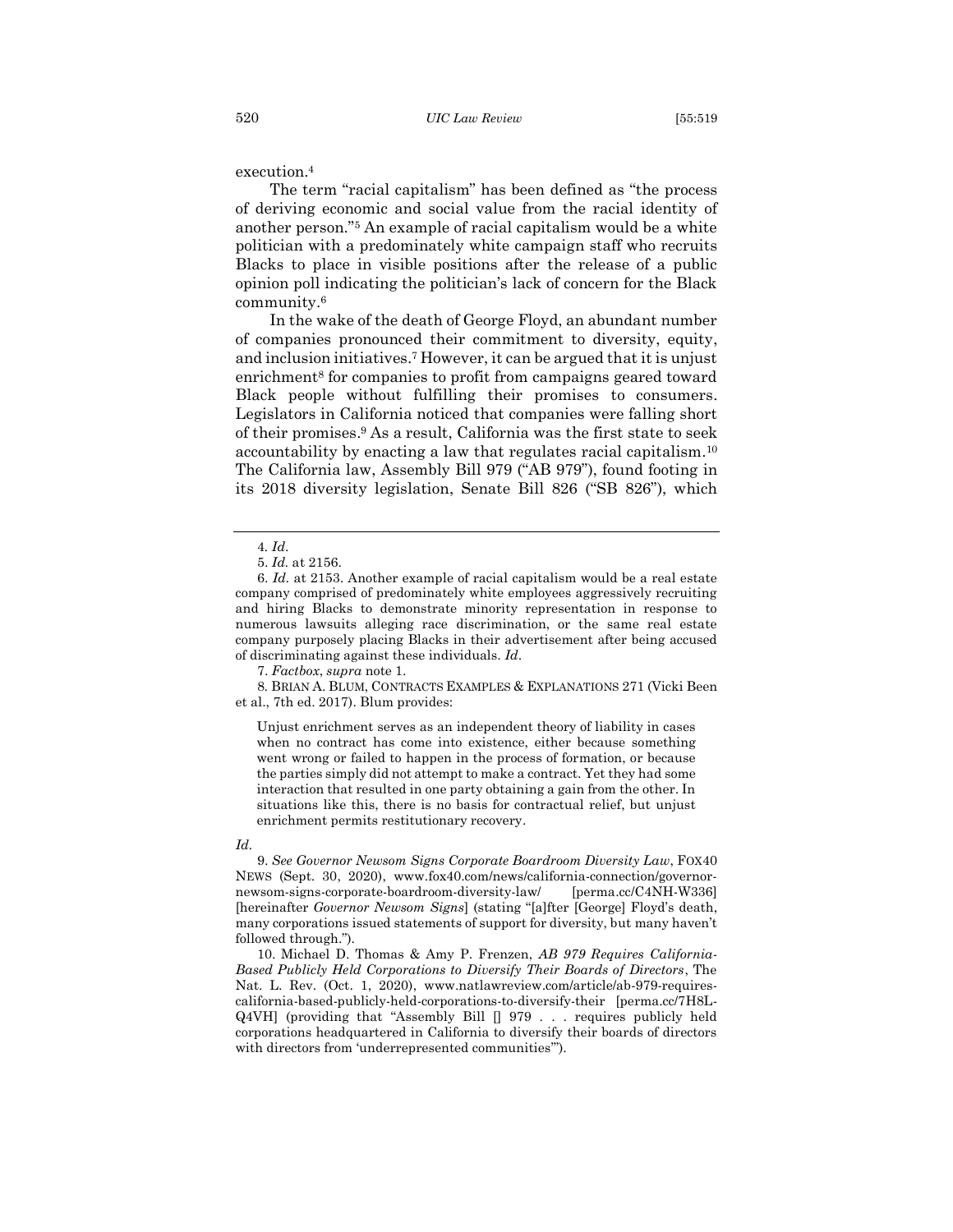execution.<sup>4</sup>

The term "racial capitalism" has been defined as "the process of deriving economic and social value from the racial identity of another person."<sup>5</sup> An example of racial capitalism would be a white politician with a predominately white campaign staff who recruits Blacks to place in visible positions after the release of a public opinion poll indicating the politician's lack of concern for the Black community. 6

In the wake of the death of George Floyd, an abundant number of companies pronounced their commitment to diversity, equity, and inclusion initiatives.<sup>7</sup> However, it can be argued that it is unjust enrichment<sup>8</sup> for companies to profit from campaigns geared toward Black people without fulfilling their promises to consumers. Legislators in California noticed that companies were falling short of their promises. <sup>9</sup> As a result, California was the first state to seek accountability by enacting a law that regulates racial capitalism.<sup>10</sup> The California law, Assembly Bill 979 ("AB 979"), found footing in its 2018 diversity legislation, Senate Bill 826 ("SB 826"), which

7. *Factbox*, *supra* note 1.

8*.* BRIAN A. BLUM, CONTRACTS EXAMPLES & EXPLANATIONS 271 (Vicki Been et al., 7th ed. 2017). Blum provides:

Unjust enrichment serves as an independent theory of liability in cases when no contract has come into existence, either because something went wrong or failed to happen in the process of formation, or because the parties simply did not attempt to make a contract. Yet they had some interaction that resulted in one party obtaining a gain from the other. In situations like this, there is no basis for contractual relief, but unjust enrichment permits restitutionary recovery.

#### *Id.*

9. *See Governor Newsom Signs Corporate Boardroom Diversity Law*, FOX40 NEWS (Sept. 30, 2020), www.fox40.com/news/california-connection/governornewsom-signs-corporate-boardroom-diversity-law/ [perma.cc/C4NH-W336] [hereinafter *Governor Newsom Signs*] (stating "[a]fter [George] Floyd's death, many corporations issued statements of support for diversity, but many haven't followed through.").

10. Michael D. Thomas & Amy P. Frenzen, *AB 979 Requires California-Based Publicly Held Corporations to Diversify Their Boards of Directors*, The Nat. L. Rev. (Oct. 1, 2020), www.natlawreview.com/article/ab-979-requirescalifornia-based-publicly-held-corporations-to-diversify-their [perma.cc/7H8L-Q4VH] (providing that "Assembly Bill [] 979 . . . requires publicly held corporations headquartered in California to diversify their boards of directors with directors from 'underrepresented communities'").

<sup>4</sup>*. Id*.

<sup>5.</sup> *Id.* at 2156.

<sup>6.</sup> *Id.* at 2153. Another example of racial capitalism would be a real estate company comprised of predominately white employees aggressively recruiting and hiring Blacks to demonstrate minority representation in response to numerous lawsuits alleging race discrimination, or the same real estate company purposely placing Blacks in their advertisement after being accused of discriminating against these individuals. *Id*.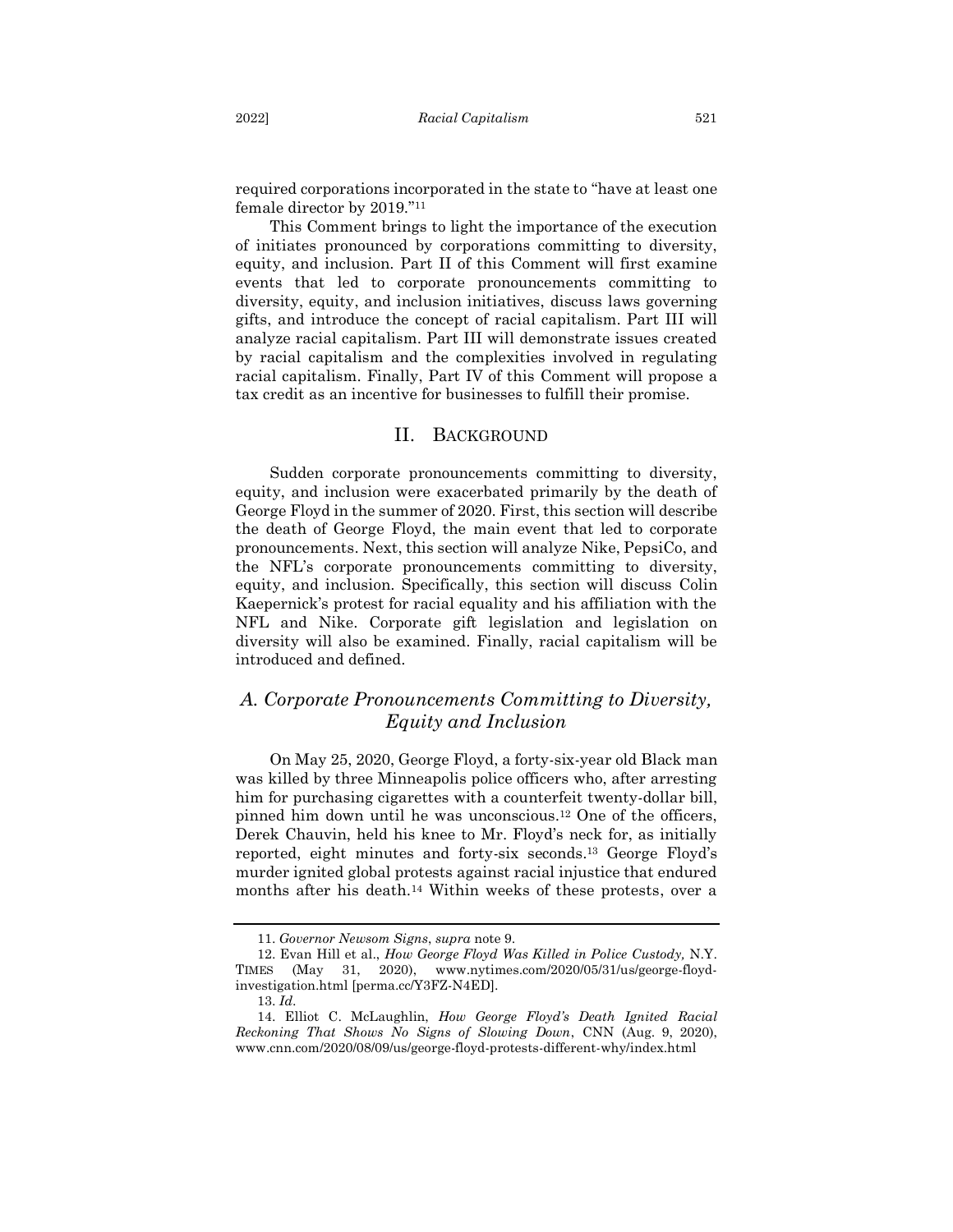required corporations incorporated in the state to "have at least one female director by 2019." 11

This Comment brings to light the importance of the execution of initiates pronounced by corporations committing to diversity, equity, and inclusion. Part II of this Comment will first examine events that led to corporate pronouncements committing to diversity, equity, and inclusion initiatives, discuss laws governing gifts, and introduce the concept of racial capitalism. Part III will analyze racial capitalism. Part III will demonstrate issues created by racial capitalism and the complexities involved in regulating racial capitalism. Finally, Part IV of this Comment will propose a tax credit as an incentive for businesses to fulfill their promise.

#### II. BACKGROUND

<span id="page-3-0"></span>Sudden corporate pronouncements committing to diversity, equity, and inclusion were exacerbated primarily by the death of George Floyd in the summer of 2020. First, this section will describe the death of George Floyd, the main event that led to corporate pronouncements. Next, this section will analyze Nike, PepsiCo, and the NFL's corporate pronouncements committing to diversity, equity, and inclusion. Specifically, this section will discuss Colin Kaepernick's protest for racial equality and his affiliation with the NFL and Nike. Corporate gift legislation and legislation on diversity will also be examined. Finally, racial capitalism will be introduced and defined.

## <span id="page-3-1"></span>*A. Corporate Pronouncements Committing to Diversity, Equity and Inclusion*

On May 25, 2020, George Floyd, a forty-six-year old Black man was killed by three Minneapolis police officers who, after arresting him for purchasing cigarettes with a counterfeit twenty-dollar bill, pinned him down until he was unconscious.<sup>12</sup> One of the officers, Derek Chauvin, held his knee to Mr. Floyd's neck for, as initially reported, eight minutes and forty-six seconds.<sup>13</sup> George Floyd's murder ignited global protests against racial injustice that endured months after his death. <sup>14</sup> Within weeks of these protests, over a

<sup>11.</sup> *Governor Newsom Signs*, *supra* note 9.

<sup>12.</sup> Evan Hill et al., *How George Floyd Was Killed in Police Custody,* N.Y. TIMES (May 31, 2020), www.nytimes.com/2020/05/31/us/george-floydinvestigation.html [perma.cc/Y3FZ-N4ED].

<sup>13.</sup> *Id*.

<sup>14.</sup> Elliot C. McLaughlin, *How George Floyd's Death Ignited Racial Reckoning That Shows No Signs of Slowing Down*, CNN (Aug. 9, 2020), www.cnn.com/2020/08/09/us/george-floyd-protests-different-why/index.html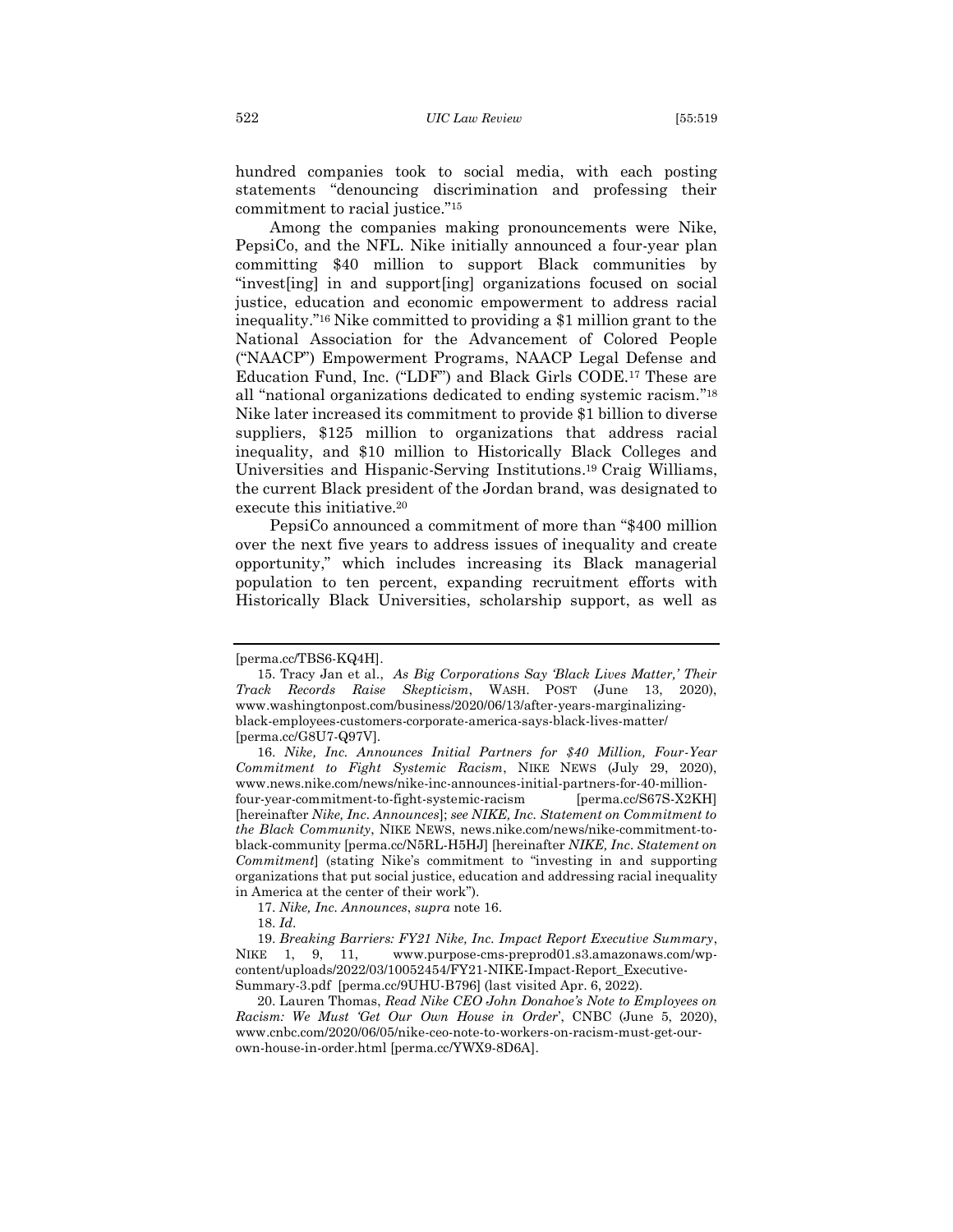hundred companies took to social media, with each posting statements "denouncing discrimination and professing their commitment to racial justice."<sup>15</sup>

Among the companies making pronouncements were Nike, PepsiCo, and the NFL. Nike initially announced a four-year plan committing \$40 million to support Black communities by "invest[ing] in and support[ing] organizations focused on social justice, education and economic empowerment to address racial inequality."<sup>16</sup> Nike committed to providing a \$1 million grant to the National Association for the Advancement of Colored People ("NAACP") Empowerment Programs, NAACP Legal Defense and Education Fund, Inc. ("LDF") and Black Girls CODE.<sup>17</sup> These are all "national organizations dedicated to ending systemic racism." 18 Nike later increased its commitment to provide \$1 billion to diverse suppliers, \$125 million to organizations that address racial inequality, and \$10 million to Historically Black Colleges and Universities and Hispanic-Serving Institutions. <sup>19</sup> Craig Williams, the current Black president of the Jordan brand, was designated to execute this initiative.<sup>20</sup>

PepsiCo announced a commitment of more than "\$400 million over the next five years to address issues of inequality and create opportunity," which includes increasing its Black managerial population to ten percent, expanding recruitment efforts with Historically Black Universities, scholarship support, as well as

<sup>[</sup>perma.cc/TBS6-KQ4H].

<sup>15.</sup> Tracy Jan et al., *As Big Corporations Say 'Black Lives Matter,' Their Track Records Raise Skepticism*, WASH. POST (June 13, 2020), www.washingtonpost.com/business/2020/06/13/after-years-marginalizingblack-employees-customers-corporate-america-says-black-lives-matter/ [perma.cc/G8U7-Q97V].

<sup>16.</sup> *Nike, Inc. Announces Initial Partners for \$40 Million, Four-Year Commitment to Fight Systemic Racism*, NIKE NEWS (July 29, 2020), www.news.nike.com/news/nike-inc-announces-initial-partners-for-40-millionfour-year-commitment-to-fight-systemic-racism [perma.cc/S67S-X2KH] [hereinafter *Nike, Inc. Announces*]; *see NIKE, Inc. Statement on Commitment to the Black Community*, NIKE NEWS, news.nike.com/news/nike-commitment-toblack-community [perma.cc/N5RL-H5HJ] [hereinafter *NIKE, Inc. Statement on Commitment*] (stating Nike's commitment to "investing in and supporting organizations that put social justice, education and addressing racial inequality in America at the center of their work").

<sup>17.</sup> *Nike, Inc. Announces*, *supra* note 16.

<sup>18.</sup> *Id*.

<sup>19.</sup> *Breaking Barriers: FY21 Nike, Inc. Impact Report Executive Summary*, NIKE 1, 9, 11, www.purpose-cms-preprod01.s3.amazonaws.com/wpcontent/uploads/2022/03/10052454/FY21-NIKE-Impact-Report\_Executive-Summary-3.pdf [perma.cc/9UHU-B796] (last visited Apr. 6, 2022).

<sup>20.</sup> Lauren Thomas, *Read Nike CEO John Donahoe's Note to Employees on Racism: We Must 'Get Our Own House in Order*', CNBC (June 5, 2020), www.cnbc.com/2020/06/05/nike-ceo-note-to-workers-on-racism-must-get-ourown-house-in-order.html [perma.cc/YWX9-8D6A].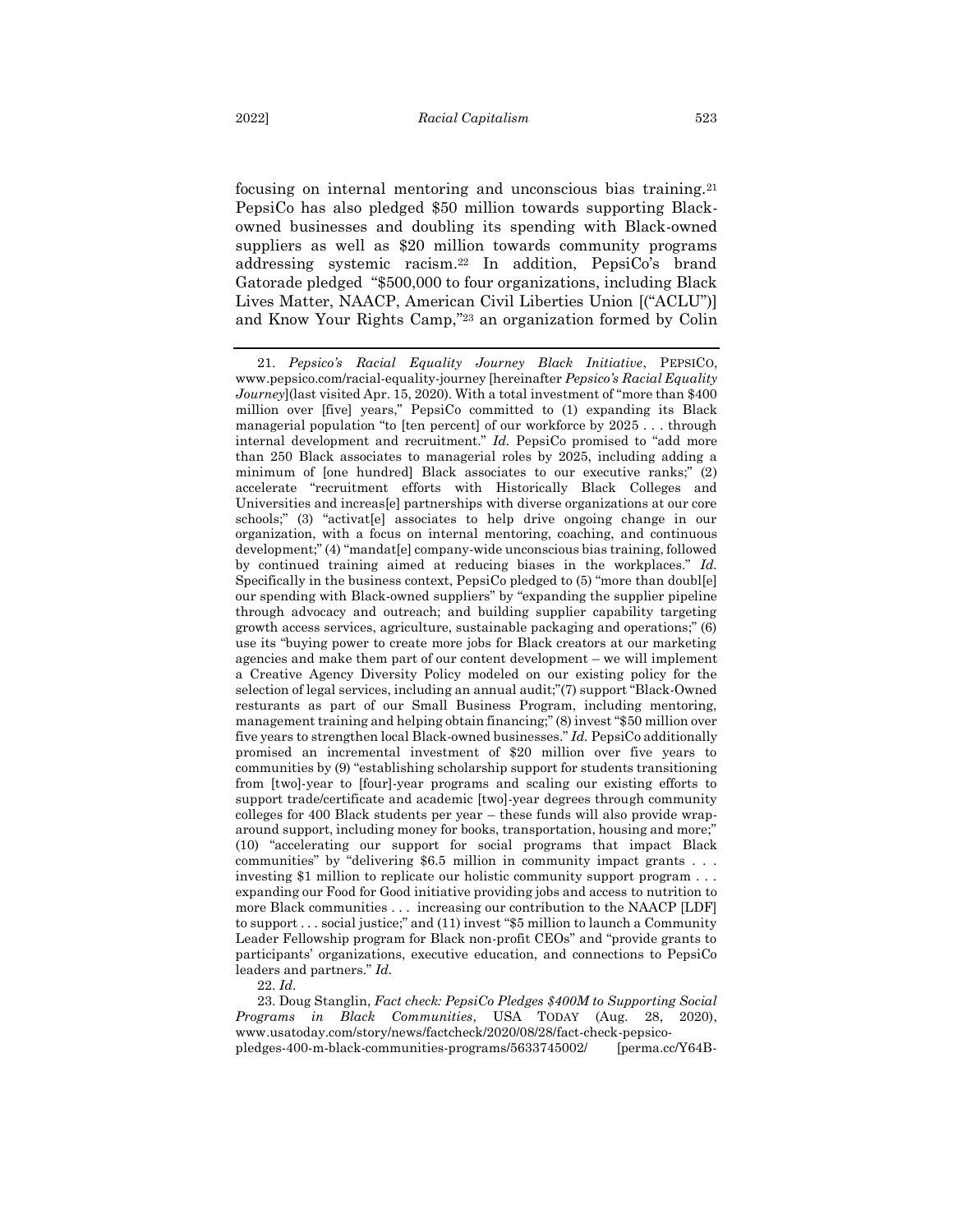focusing on internal mentoring and unconscious bias training.<sup>21</sup> PepsiCo has also pledged \$50 million towards supporting Blackowned businesses and doubling its spending with Black-owned suppliers as well as \$20 million towards community programs addressing systemic racism.<sup>22</sup> In addition, PepsiCo's brand Gatorade pledged "\$500,000 to four organizations, including Black Lives Matter, NAACP, American Civil Liberties Union [("ACLU")] and Know Your Rights Camp," <sup>23</sup> an organization formed by Colin

22. *Id*.

23. Doug Stanglin, *Fact check: PepsiCo Pledges \$400M to Supporting Social Programs in Black Communities*, USA TODAY (Aug. 28, 2020), www.usatoday.com/story/news/factcheck/2020/08/28/fact-check-pepsicopledges-400-m-black-communities-programs/5633745002/ [perma.cc/Y64B-

<sup>21.</sup> *Pepsico's Racial Equality Journey Black Initiative*, PEPSICO, www.pepsico.com/racial-equality-journey [hereinafter *Pepsico's Racial Equality Journey*](last visited Apr. 15, 2020). With a total investment of "more than \$400 million over [five] years," PepsiCo committed to (1) expanding its Black managerial population "to [ten percent] of our workforce by 2025 . . . through internal development and recruitment." *Id.* PepsiCo promised to "add more than 250 Black associates to managerial roles by 2025, including adding a minimum of [one hundred] Black associates to our executive ranks;" (2) accelerate "recruitment efforts with Historically Black Colleges and Universities and increas[e] partnerships with diverse organizations at our core schools;" (3) "activat[e] associates to help drive ongoing change in our organization, with a focus on internal mentoring, coaching, and continuous development;" (4) "mandat[e] company-wide unconscious bias training, followed by continued training aimed at reducing biases in the workplaces." *Id.*  Specifically in the business context, PepsiCo pledged to (5) "more than doubl[e] our spending with Black-owned suppliers" by "expanding the supplier pipeline through advocacy and outreach; and building supplier capability targeting growth access services, agriculture, sustainable packaging and operations;" (6) use its "buying power to create more jobs for Black creators at our marketing agencies and make them part of our content development – we will implement a Creative Agency Diversity Policy modeled on our existing policy for the selection of legal services, including an annual audit;"(7) support "Black-Owned resturants as part of our Small Business Program, including mentoring, management training and helping obtain financing;" (8) invest "\$50 million over five years to strengthen local Black-owned businesses." *Id.* PepsiCo additionally promised an incremental investment of \$20 million over five years to communities by (9) "establishing scholarship support for students transitioning from [two]-year to [four]-year programs and scaling our existing efforts to support trade/certificate and academic [two]-year degrees through community colleges for 400 Black students per year – these funds will also provide wraparound support, including money for books, transportation, housing and more;" (10) "accelerating our support for social programs that impact Black communities" by "delivering \$6.5 million in community impact grants . . . investing \$1 million to replicate our holistic community support program . . . expanding our Food for Good initiative providing jobs and access to nutrition to more Black communities . . . increasing our contribution to the NAACP [LDF] to support . . . social justice;" and (11) invest "\$5 million to launch a Community Leader Fellowship program for Black non-profit CEOs" and "provide grants to participants' organizations, executive education, and connections to PepsiCo leaders and partners." *Id.*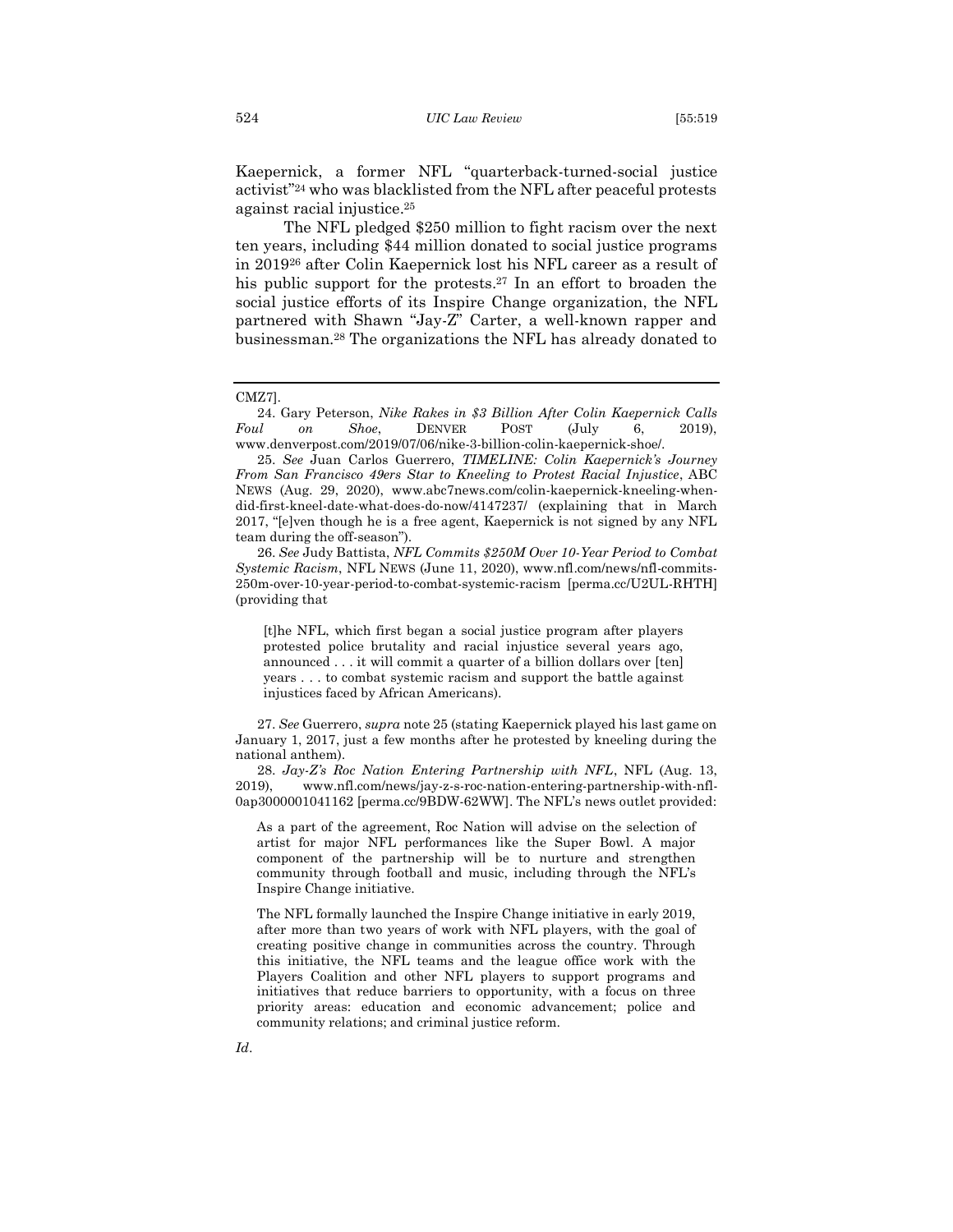Kaepernick, a former NFL "quarterback-turned-social justice activist"<sup>24</sup> who was blacklisted from the NFL after peaceful protests against racial injustice. 25

The NFL pledged \$250 million to fight racism over the next ten years, including \$44 million donated to social justice programs in 2019<sup>26</sup> after Colin Kaepernick lost his NFL career as a result of his public support for the protests.<sup>27</sup> In an effort to broaden the social justice efforts of its Inspire Change organization, the NFL partnered with Shawn "Jay-Z" Carter, a well-known rapper and businessman.<sup>28</sup> The organizations the NFL has already donated to

24. Gary Peterson, *Nike Rakes in \$3 Billion After Colin Kaepernick Calls Foul on Shoe*, DENVER POST (July 6, 2019), www.denverpost.com/2019/07/06/nike-3-billion-colin-kaepernick-shoe/.

26. *See* Judy Battista, *NFL Commits \$250M Over 10-Year Period to Combat Systemic Racism*, NFL NEWS (June 11, 2020), www.nfl.com/news/nfl-commits-250m-over-10-year-period-to-combat-systemic-racism [perma.cc/U2UL-RHTH] (providing that

[t]he NFL, which first began a social justice program after players protested police brutality and racial injustice several years ago, announced . . . it will commit a quarter of a billion dollars over [ten] years . . . to combat systemic racism and support the battle against injustices faced by African Americans).

27. *See* Guerrero, *supra* note 25 (stating Kaepernick played his last game on January 1, 2017, just a few months after he protested by kneeling during the national anthem).

28. *Jay-Z's Roc Nation Entering Partnership with NFL*, NFL (Aug. 13, 2019), www.nfl.com/news/jay-z-s-roc-nation-entering-partnership-with-nfl-0ap3000001041162 [perma.cc/9BDW-62WW]. The NFL's news outlet provided:

As a part of the agreement, Roc Nation will advise on the selection of artist for major NFL performances like the Super Bowl. A major component of the partnership will be to nurture and strengthen community through football and music, including through the NFL's Inspire Change initiative.

The NFL formally launched the Inspire Change initiative in early 2019, after more than two years of work with NFL players, with the goal of creating positive change in communities across the country. Through this initiative, the NFL teams and the league office work with the Players Coalition and other NFL players to support programs and initiatives that reduce barriers to opportunity, with a focus on three priority areas: education and economic advancement; police and community relations; and criminal justice reform.

CMZ7].

<sup>25.</sup> *See* Juan Carlos Guerrero, *TIMELINE: Colin Kaepernick's Journey From San Francisco 49ers Star to Kneeling to Protest Racial Injustice*, ABC NEWS (Aug. 29, 2020), www.abc7news.com/colin-kaepernick-kneeling-whendid-first-kneel-date-what-does-do-now/4147237/ (explaining that in March 2017, "[e]ven though he is a free agent, Kaepernick is not signed by any NFL team during the off-season").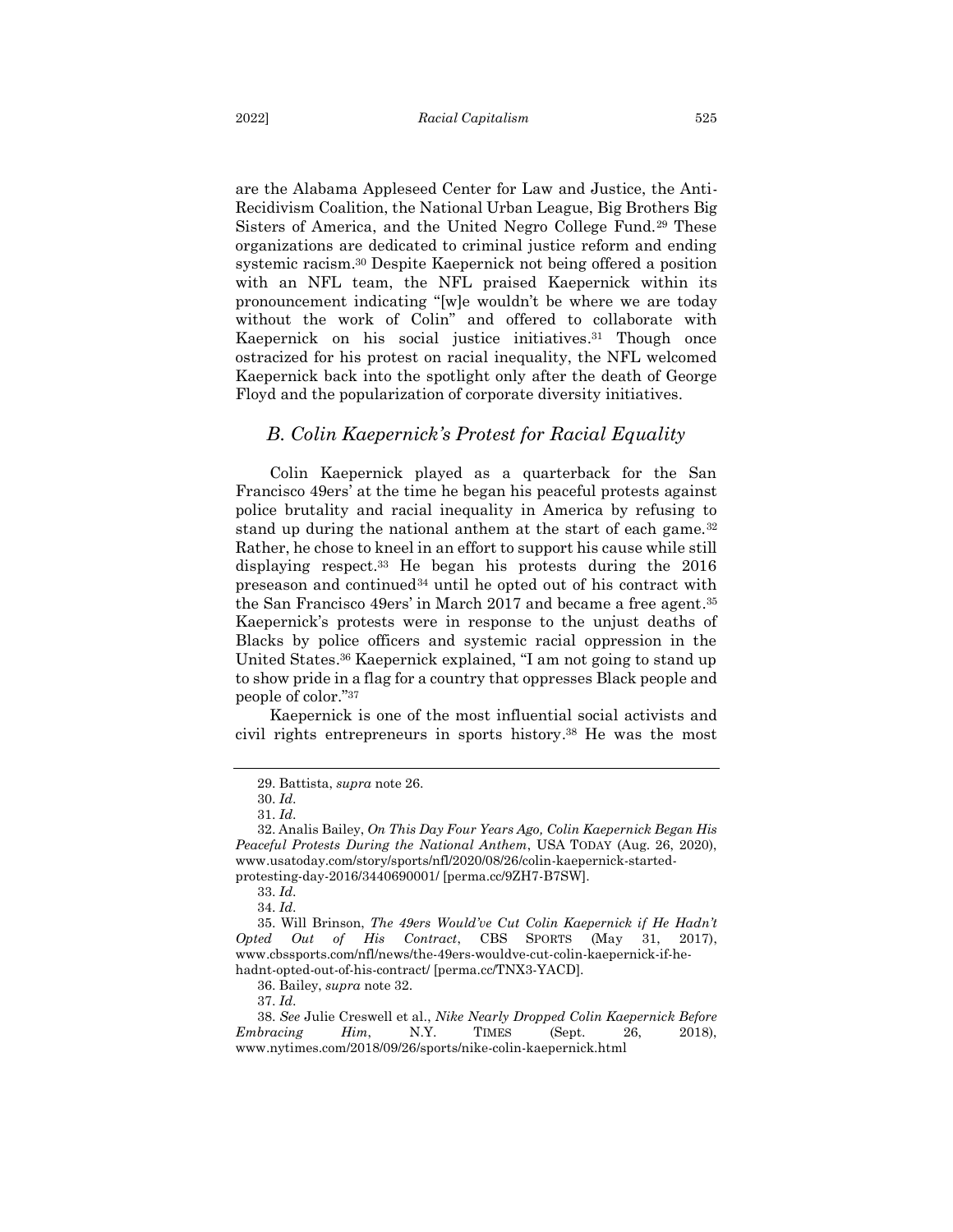are the Alabama Appleseed Center for Law and Justice, the Anti-Recidivism Coalition, the National Urban League, Big Brothers Big Sisters of America, and the United Negro College Fund.<sup>29</sup> These organizations are dedicated to criminal justice reform and ending systemic racism.<sup>30</sup> Despite Kaepernick not being offered a position with an NFL team, the NFL praised Kaepernick within its pronouncement indicating "[w]e wouldn't be where we are today without the work of Colin" and offered to collaborate with Kaepernick on his social justice initiatives. <sup>31</sup> Though once ostracized for his protest on racial inequality, the NFL welcomed Kaepernick back into the spotlight only after the death of George Floyd and the popularization of corporate diversity initiatives.

#### <span id="page-7-0"></span>*B. Colin Kaepernick's Protest for Racial Equality*

Colin Kaepernick played as a quarterback for the San Francisco 49ers' at the time he began his peaceful protests against police brutality and racial inequality in America by refusing to stand up during the national anthem at the start of each game.<sup>32</sup> Rather, he chose to kneel in an effort to support his cause while still displaying respect.<sup>33</sup> He began his protests during the 2016 preseason and continued<sup>34</sup> until he opted out of his contract with the San Francisco 49ers' in March 2017 and became a free agent. 35 Kaepernick's protests were in response to the unjust deaths of Blacks by police officers and systemic racial oppression in the United States. <sup>36</sup> Kaepernick explained, "I am not going to stand up to show pride in a flag for a country that oppresses Black people and people of color."<sup>37</sup>

Kaepernick is one of the most influential social activists and civil rights entrepreneurs in sports history. <sup>38</sup> He was the most

37. *Id*.

<sup>29.</sup> Battista, *supra* note 26.

<sup>30.</sup> *Id*.

<sup>31.</sup> *Id*.

<sup>32.</sup> Analis Bailey, *On This Day Four Years Ago, Colin Kaepernick Began His Peaceful Protests During the National Anthem*, USA TODAY (Aug. 26, 2020), www.usatoday.com/story/sports/nfl/2020/08/26/colin-kaepernick-startedprotesting-day-2016/3440690001/ [perma.cc/9ZH7-B7SW].

<sup>33.</sup> *Id*.

<sup>34.</sup> *Id*.

<sup>35.</sup> Will Brinson, *The 49ers Would've Cut Colin Kaepernick if He Hadn't Opted Out of His Contract*, CBS SPORTS (May 31, 2017), www.cbssports.com/nfl/news/the-49ers-wouldve-cut-colin-kaepernick-if-hehadnt-opted-out-of-his-contract/ [perma.cc/TNX3-YACD].

<sup>36.</sup> Bailey, *supra* note 32.

<sup>38.</sup> *See* Julie Creswell et al., *Nike Nearly Dropped Colin Kaepernick Before Embracing Him*, N.Y. TIMES (Sept. 26, 2018), www.nytimes.com/2018/09/26/sports/nike-colin-kaepernick.html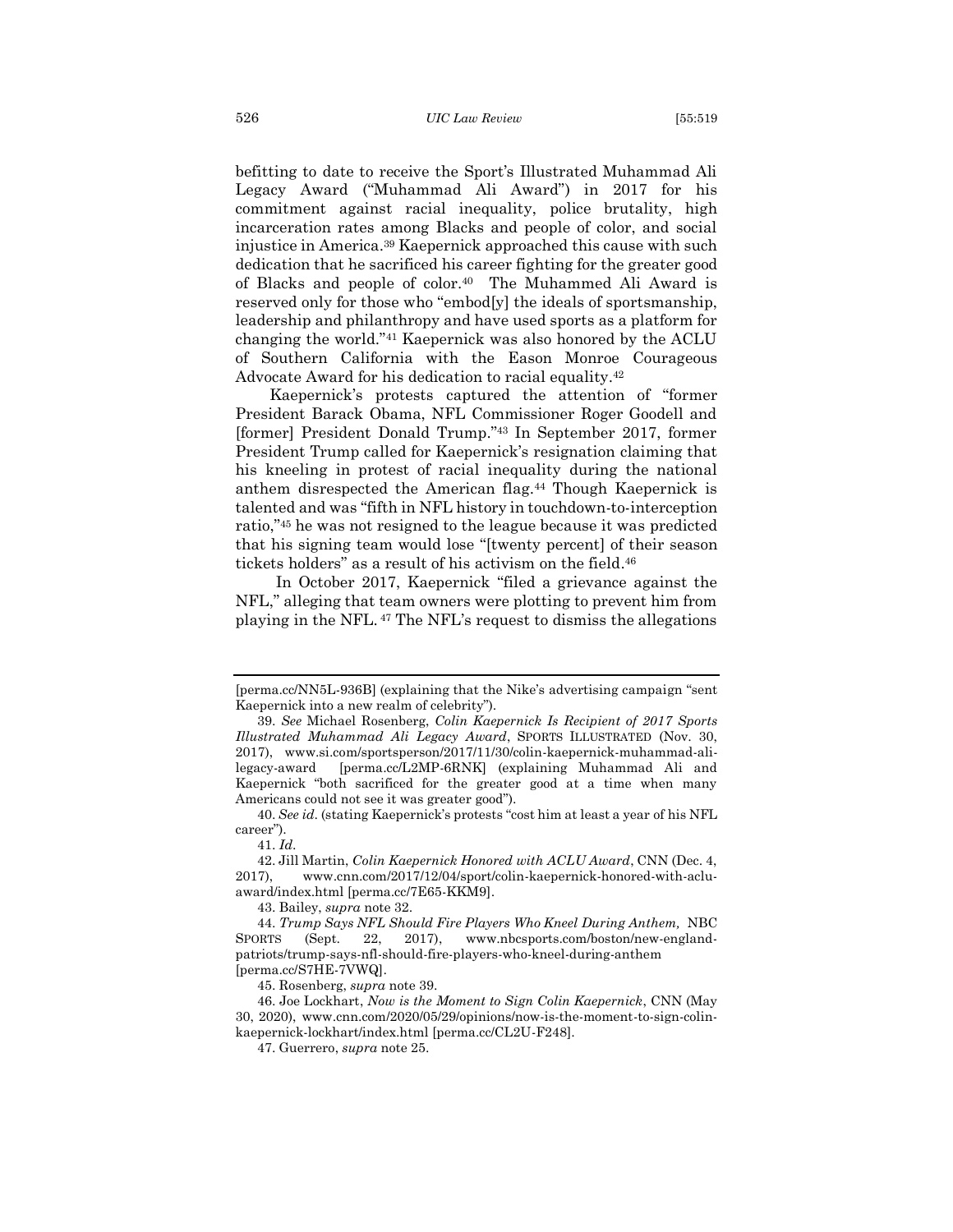befitting to date to receive the Sport's Illustrated Muhammad Ali Legacy Award ("Muhammad Ali Award") in 2017 for his commitment against racial inequality, police brutality, high incarceration rates among Blacks and people of color, and social injustice in America. <sup>39</sup> Kaepernick approached this cause with such dedication that he sacrificed his career fighting for the greater good of Blacks and people of color.40 The Muhammed Ali Award is reserved only for those who "embod[y] the ideals of sportsmanship, leadership and philanthropy and have used sports as a platform for changing the world."<sup>41</sup> Kaepernick was also honored by the ACLU of Southern California with the Eason Monroe Courageous Advocate Award for his dedication to racial equality.<sup>42</sup>

Kaepernick's protests captured the attention of "former President Barack Obama, NFL Commissioner Roger Goodell and [former] President Donald Trump." <sup>43</sup> In September 2017, former President Trump called for Kaepernick's resignation claiming that his kneeling in protest of racial inequality during the national anthem disrespected the American flag.<sup>44</sup> Though Kaepernick is talented and was "fifth in NFL history in touchdown-to-interception ratio,"<sup>45</sup> he was not resigned to the league because it was predicted that his signing team would lose "[twenty percent] of their season tickets holders" as a result of his activism on the field. 46

In October 2017, Kaepernick "filed a grievance against the NFL," alleging that team owners were plotting to prevent him from playing in the NFL. <sup>47</sup> The NFL's request to dismiss the allegations

43. Bailey, *supra* note 32.

<sup>[</sup>perma.cc/NN5L-936B] (explaining that the Nike's advertising campaign "sent Kaepernick into a new realm of celebrity").

<sup>39.</sup> *See* Michael Rosenberg, *Colin Kaepernick Is Recipient of 2017 Sports Illustrated Muhammad Ali Legacy Award*, SPORTS ILLUSTRATED (Nov. 30, 2017), www.si.com/sportsperson/2017/11/30/colin-kaepernick-muhammad-alilegacy-award [perma.cc/L2MP-6RNK] (explaining Muhammad Ali and Kaepernick "both sacrificed for the greater good at a time when many Americans could not see it was greater good").

<sup>40.</sup> *See id*. (stating Kaepernick's protests "cost him at least a year of his NFL career").

<sup>41.</sup> *Id*.

<sup>42.</sup> Jill Martin, *Colin Kaepernick Honored with ACLU Award*, CNN (Dec. 4, 2017), www.cnn.com/2017/12/04/sport/colin-kaepernick-honored-with-acluaward/index.html [perma.cc/7E65-KKM9].

<sup>44.</sup> *Trump Says NFL Should Fire Players Who Kneel During Anthem,* NBC SPORTS (Sept. 22, 2017), www.nbcsports.com/boston/new-englandpatriots/trump-says-nfl-should-fire-players-who-kneel-during-anthem [perma.cc/S7HE-7VWQ].

<sup>45.</sup> Rosenberg, *supra* note 39.

<sup>46.</sup> Joe Lockhart, *Now is the Moment to Sign Colin Kaepernick*, CNN (May 30, 2020), www.cnn.com/2020/05/29/opinions/now-is-the-moment-to-sign-colinkaepernick-lockhart/index.html [perma.cc/CL2U-F248].

<sup>47.</sup> Guerrero, *supra* note 25.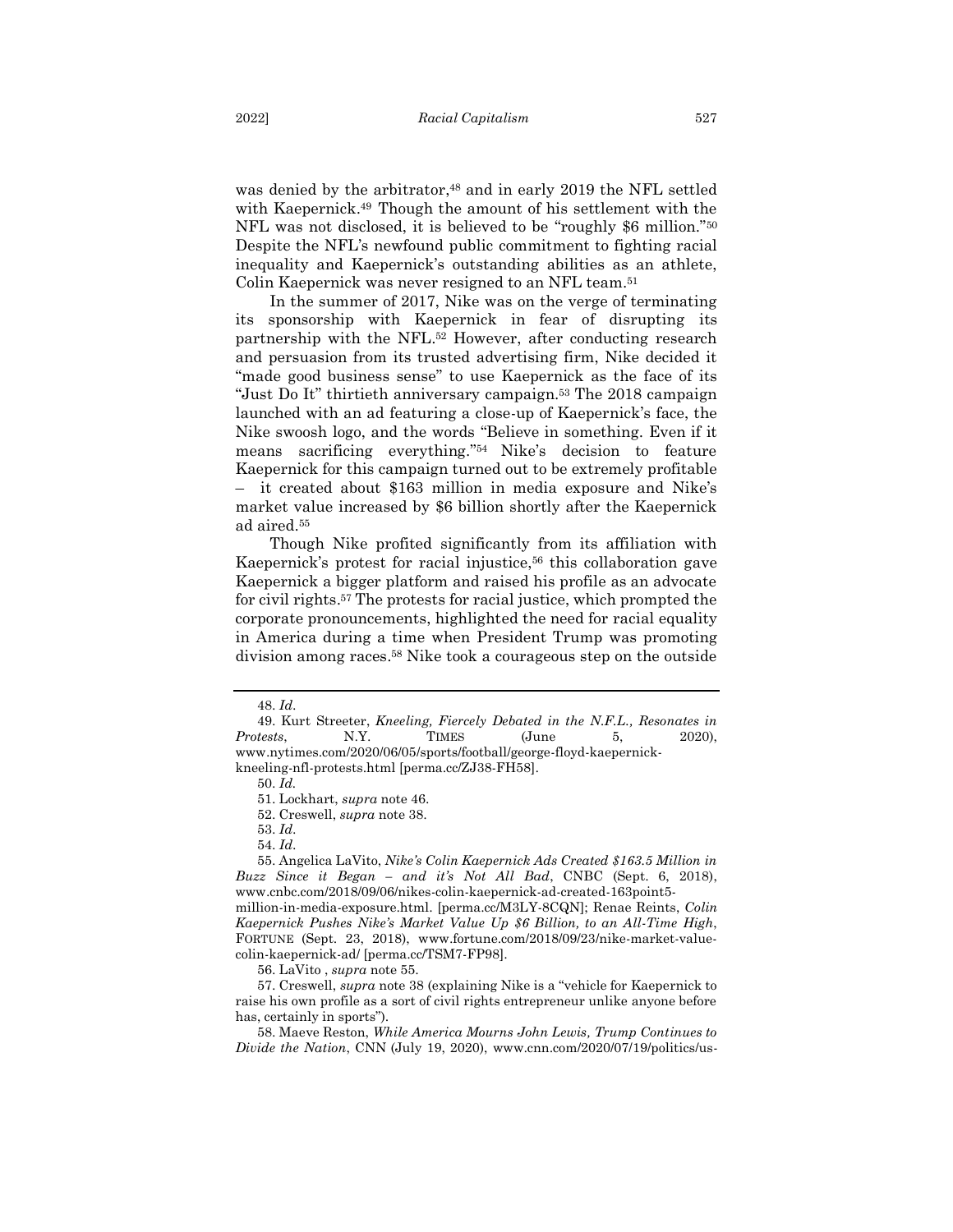was denied by the arbitrator, <sup>48</sup> and in early 2019 the NFL settled with Kaepernick. <sup>49</sup> Though the amount of his settlement with the NFL was not disclosed, it is believed to be "roughly \$6 million."<sup>50</sup> Despite the NFL's newfound public commitment to fighting racial inequality and Kaepernick's outstanding abilities as an athlete, Colin Kaepernick was never resigned to an NFL team.<sup>51</sup>

In the summer of 2017, Nike was on the verge of terminating its sponsorship with Kaepernick in fear of disrupting its partnership with the NFL. <sup>52</sup> However, after conducting research and persuasion from its trusted advertising firm, Nike decided it "made good business sense" to use Kaepernick as the face of its "Just Do It" thirtieth anniversary campaign.<sup>53</sup> The 2018 campaign launched with an ad featuring a close-up of Kaepernick's face, the Nike swoosh logo, and the words "Believe in something. Even if it means sacrificing everything." <sup>54</sup> Nike's decision to feature Kaepernick for this campaign turned out to be extremely profitable – it created about \$163 million in media exposure and Nike's market value increased by \$6 billion shortly after the Kaepernick ad aired. 55

Though Nike profited significantly from its affiliation with Kaepernick's protest for racial injustice,<sup>56</sup> this collaboration gave Kaepernick a bigger platform and raised his profile as an advocate for civil rights. <sup>57</sup> The protests for racial justice, which prompted the corporate pronouncements, highlighted the need for racial equality in America during a time when President Trump was promoting division among races. <sup>58</sup> Nike took a courageous step on the outside

kneeling-nfl-protests.html [perma.cc/ZJ38-FH58].

50. *Id.*

52. Creswell, *supra* note 38.

53. *Id*.

54. *Id*.

55. Angelica LaVito, *Nike's Colin Kaepernick Ads Created \$163.5 Million in Buzz Since it Began – and it's Not All Bad*, CNBC (Sept. 6, 2018), www.cnbc.com/2018/09/06/nikes-colin-kaepernick-ad-created-163point5-

million-in-media-exposure.html. [perma.cc/M3LY-8CQN]; Renae Reints, *Colin Kaepernick Pushes Nike's Market Value Up \$6 Billion, to an All-Time High*, FORTUNE (Sept. 23, 2018), www.fortune.com/2018/09/23/nike-market-valuecolin-kaepernick-ad/ [perma.cc/TSM7-FP98].

56. LaVito , *supra* note 55.

57. Creswell, *supra* note 38 (explaining Nike is a "vehicle for Kaepernick to raise his own profile as a sort of civil rights entrepreneur unlike anyone before has, certainly in sports").

58. Maeve Reston, *While America Mourns John Lewis, Trump Continues to Divide the Nation*, CNN (July 19, 2020), www.cnn.com/2020/07/19/politics/us-

<sup>48.</sup> *Id*.

<sup>49.</sup> Kurt Streeter, *Kneeling, Fiercely Debated in the N.F.L., Resonates in Protests*, N.Y. TIMES (June 5, 2020), www.nytimes.com/2020/06/05/sports/football/george-floyd-kaepernick-

<sup>51.</sup> Lockhart, *supra* note 46.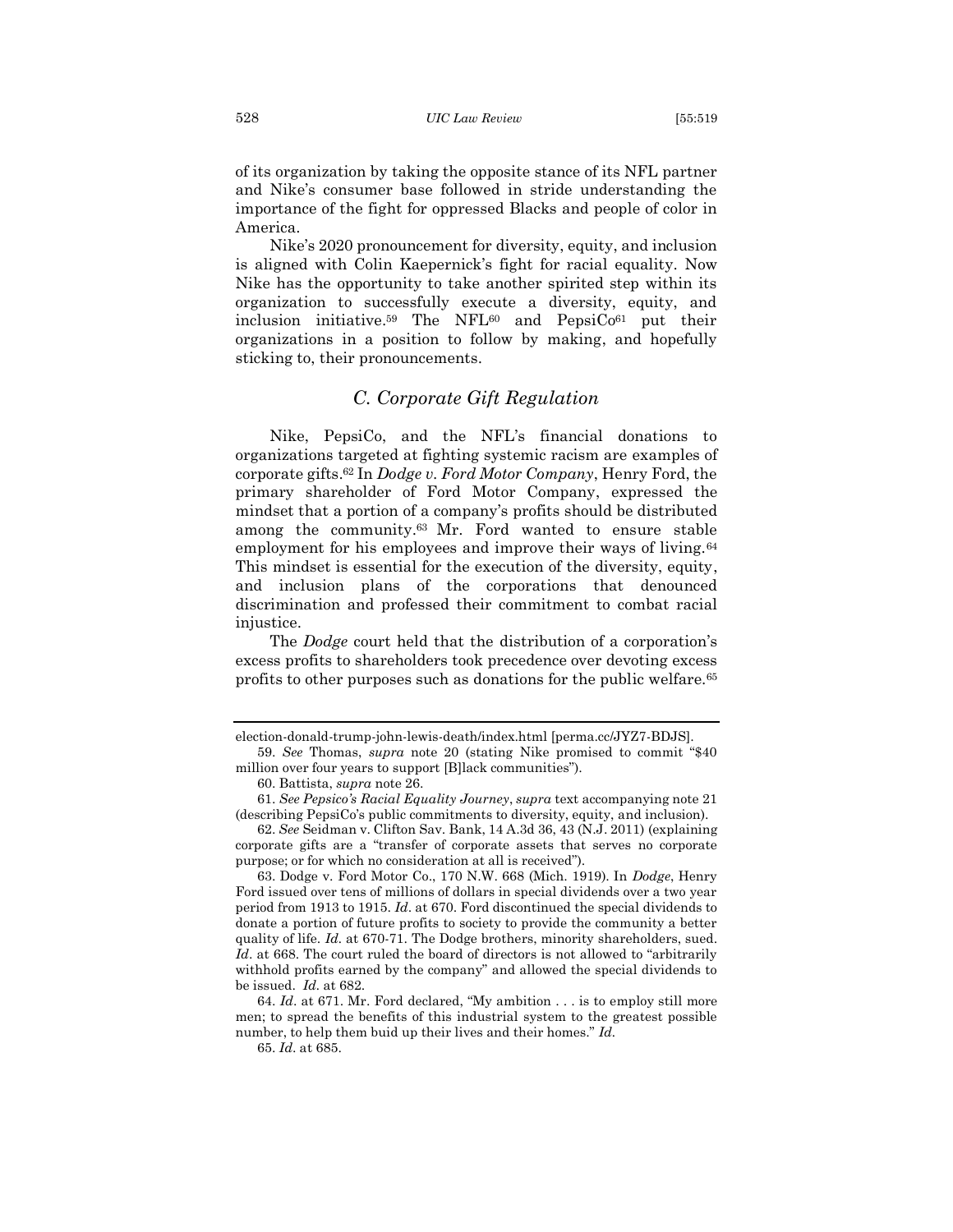of its organization by taking the opposite stance of its NFL partner and Nike's consumer base followed in stride understanding the importance of the fight for oppressed Blacks and people of color in America.

Nike's 2020 pronouncement for diversity, equity, and inclusion is aligned with Colin Kaepernick's fight for racial equality. Now Nike has the opportunity to take another spirited step within its organization to successfully execute a diversity, equity, and inclusion initiative.<sup>59</sup> The NFL<sup>60</sup> and PepsiCo<sup>61</sup> put their organizations in a position to follow by making, and hopefully sticking to, their pronouncements.

#### <span id="page-10-0"></span>*C. Corporate Gift Regulation*

Nike, PepsiCo, and the NFL's financial donations to organizations targeted at fighting systemic racism are examples of corporate gifts. <sup>62</sup> In *Dodge v. Ford Motor Company*, Henry Ford, the primary shareholder of Ford Motor Company, expressed the mindset that a portion of a company's profits should be distributed among the community.<sup>63</sup> Mr. Ford wanted to ensure stable employment for his employees and improve their ways of living.<sup>64</sup> This mindset is essential for the execution of the diversity, equity, and inclusion plans of the corporations that denounced discrimination and professed their commitment to combat racial injustice.

The *Dodge* court held that the distribution of a corporation's excess profits to shareholders took precedence over devoting excess profits to other purposes such as donations for the public welfare.<sup>65</sup>

election-donald-trump-john-lewis-death/index.html [perma.cc/JYZ7-BDJS].

<sup>59.</sup> *See* Thomas, *supra* note 20 (stating Nike promised to commit "\$40 million over four years to support [B]lack communities").

<sup>60.</sup> Battista, *supra* note 26.

<sup>61.</sup> *See Pepsico's Racial Equality Journey*, *supra* text accompanying note 21 (describing PepsiCo's public commitments to diversity, equity, and inclusion).

<sup>62.</sup> *See* Seidman v. Clifton Sav. Bank, 14 A.3d 36, 43 (N.J. 2011) (explaining corporate gifts are a "transfer of corporate assets that serves no corporate purpose; or for which no consideration at all is received").

<sup>63.</sup> Dodge v. Ford Motor Co., 170 N.W. 668 (Mich. 1919). In *Dodge*, Henry Ford issued over tens of millions of dollars in special dividends over a two year period from 1913 to 1915. *Id*. at 670. Ford discontinued the special dividends to donate a portion of future profits to society to provide the community a better quality of life. *Id.* at 670-71. The Dodge brothers, minority shareholders, sued. Id. at 668. The court ruled the board of directors is not allowed to "arbitrarily" withhold profits earned by the company" and allowed the special dividends to be issued. *Id.* at 682.

<sup>64.</sup> *Id*. at 671. Mr. Ford declared, "My ambition . . . is to employ still more men; to spread the benefits of this industrial system to the greatest possible number, to help them buid up their lives and their homes." *Id.* 

<sup>65.</sup> *Id*. at 685.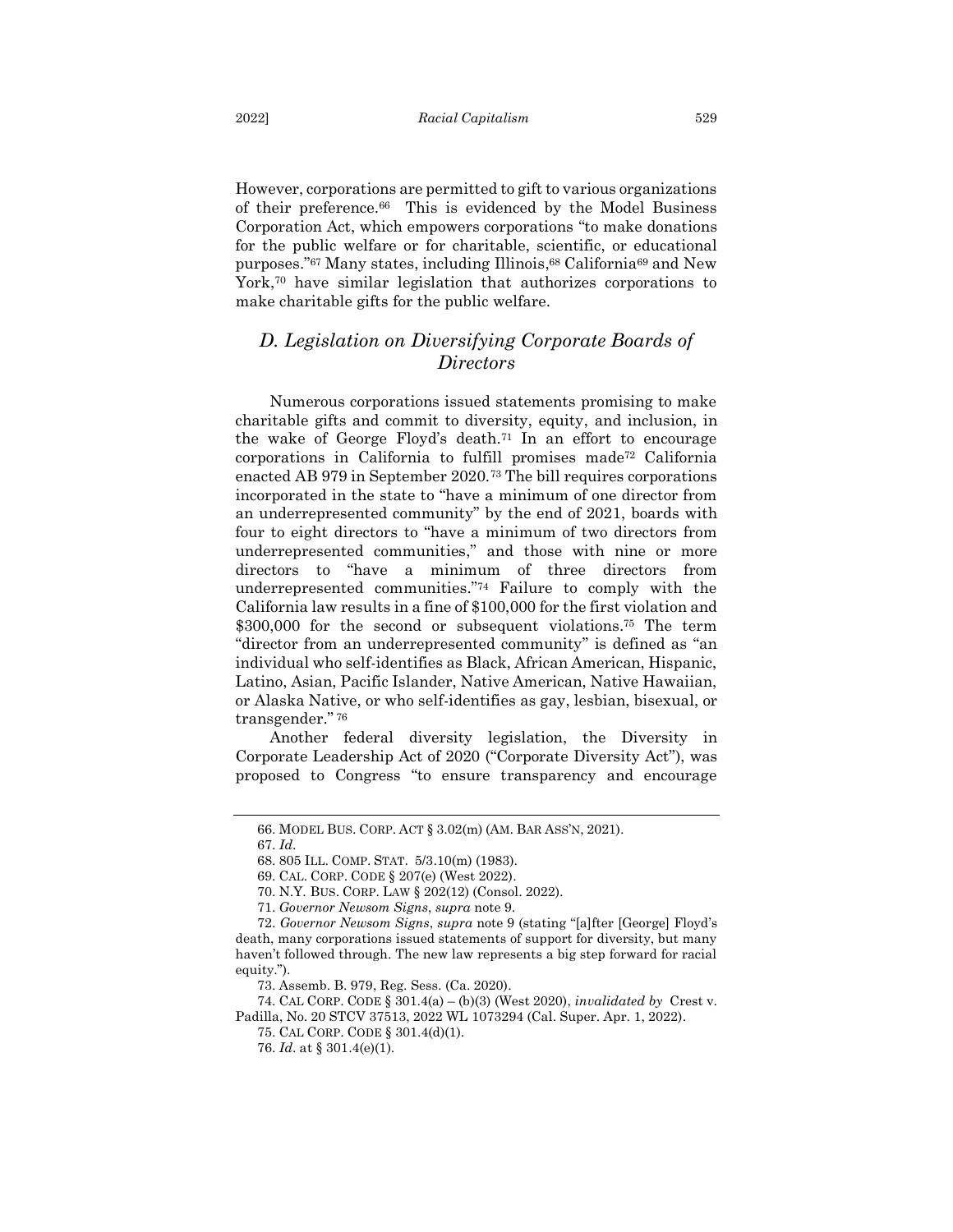However, corporations are permitted to gift to various organizations of their preference.66 This is evidenced by the Model Business Corporation Act, which empowers corporations "to make donations for the public welfare or for charitable, scientific, or educational purposes." <sup>67</sup> Many states, including Illinois, <sup>68</sup> California<sup>69</sup> and New York,<sup>70</sup> have similar legislation that authorizes corporations to make charitable gifts for the public welfare.

### <span id="page-11-0"></span>*D. Legislation on Diversifying Corporate Boards of Directors*

Numerous corporations issued statements promising to make charitable gifts and commit to diversity, equity, and inclusion, in the wake of George Floyd's death.<sup>71</sup> In an effort to encourage corporations in California to fulfill promises made<sup>72</sup> California enacted AB 979 in September 2020.<sup>73</sup> The bill requires corporations incorporated in the state to "have a minimum of one director from an underrepresented community" by the end of 2021, boards with four to eight directors to "have a minimum of two directors from underrepresented communities," and those with nine or more directors to "have a minimum of three directors from underrepresented communities."<sup>74</sup> Failure to comply with the California law results in a fine of \$100,000 for the first violation and \$300,000 for the second or subsequent violations.<sup>75</sup> The term "director from an underrepresented community" is defined as "an individual who self-identifies as Black, African American, Hispanic, Latino, Asian, Pacific Islander, Native American, Native Hawaiian, or Alaska Native, or who self-identifies as gay, lesbian, bisexual, or transgender." <sup>76</sup>

Another federal diversity legislation, the Diversity in Corporate Leadership Act of 2020 ("Corporate Diversity Act"), was proposed to Congress "to ensure transparency and encourage

<sup>66.</sup> MODEL BUS. CORP. ACT § 3.02(m) (AM. BAR ASS'N, 2021).

<sup>67.</sup> *Id*.

<sup>68. 805</sup> ILL. COMP. STAT. 5/3.10(m) (1983).

<sup>69.</sup> CAL. CORP. CODE § 207(e) (West 2022).

<sup>70.</sup> N.Y. BUS. CORP. LAW § 202(12) (Consol. 2022).

<sup>71.</sup> *Governor Newsom Signs*, *supra* note 9.

<sup>72.</sup> *Governor Newsom Signs*, *supra* note 9 (stating "[a]fter [George] Floyd's death, many corporations issued statements of support for diversity, but many haven't followed through. The new law represents a big step forward for racial equity.").

<sup>73.</sup> Assemb. B. 979, Reg. Sess. (Ca. 2020).

<sup>74.</sup> CAL CORP. CODE § 301.4(a) – (b)(3) (West 2020), *invalidated by* Crest v. Padilla, No. 20 STCV 37513, 2022 WL 1073294 (Cal. Super. Apr. 1, 2022).

<sup>75.</sup> CAL CORP. CODE § 301.4(d)(1).

<sup>76.</sup> *Id*. at § 301.4(e)(1).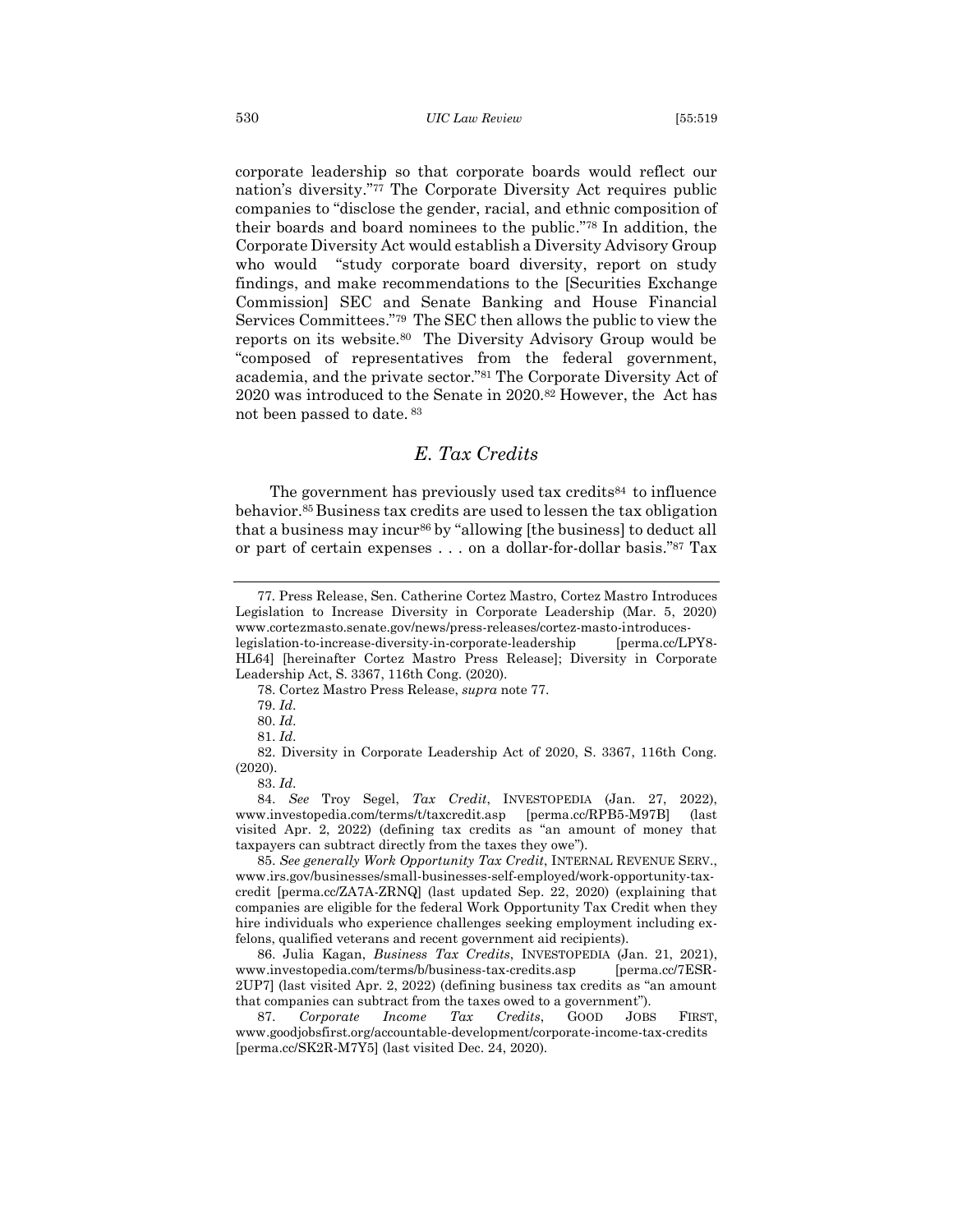corporate leadership so that corporate boards would reflect our nation's diversity."<sup>77</sup> The Corporate Diversity Act requires public companies to "disclose the gender, racial, and ethnic composition of their boards and board nominees to the public." <sup>78</sup> In addition, the Corporate Diversity Act would establish a Diversity Advisory Group who would "study corporate board diversity, report on study findings, and make recommendations to the [Securities Exchange Commission] SEC and Senate Banking and House Financial Services Committees."79 The SEC then allows the public to view the reports on its website.80 The Diversity Advisory Group would be "composed of representatives from the federal government, academia, and the private sector."<sup>81</sup> The Corporate Diversity Act of 2020 was introduced to the Senate in 2020.<sup>82</sup> However, the Act has not been passed to date. <sup>83</sup>

#### <span id="page-12-0"></span>*E. Tax Credits*

The government has previously used tax credits<sup>84</sup> to influence behavior. <sup>85</sup>Business tax credits are used to lessen the tax obligation that a business may incur<sup>86</sup> by "allowing [the business] to deduct all or part of certain expenses . . . on a dollar-for-dollar basis." <sup>87</sup> Tax

78. Cortez Mastro Press Release, *supra* note 77.

79. *Id*.

80. *Id*.

81. *Id*.

82. Diversity in Corporate Leadership Act of 2020, S. 3367, 116th Cong. (2020).

83. *Id*.

84. *See* Troy Segel, *Tax Credit*, INVESTOPEDIA (Jan. 27, 2022), www.investopedia.com/terms/t/taxcredit.asp [perma.cc/RPB5-M97B] (last visited Apr. 2, 2022) (defining tax credits as "an amount of money that taxpayers can subtract directly from the taxes they owe").

85. *See generally Work Opportunity Tax Credit*, INTERNAL REVENUE SERV., www.irs.gov/businesses/small-businesses-self-employed/work-opportunity-taxcredit [perma.cc/ZA7A-ZRNQ] (last updated Sep. 22, 2020) (explaining that companies are eligible for the federal Work Opportunity Tax Credit when they hire individuals who experience challenges seeking employment including exfelons, qualified veterans and recent government aid recipients).

86. Julia Kagan, *Business Tax Credits*, INVESTOPEDIA (Jan. 21, 2021), www.investopedia.com/terms/b/business-tax-credits.asp [perma.cc/7ESR-2UP7] (last visited Apr. 2, 2022) (defining business tax credits as "an amount that companies can subtract from the taxes owed to a government").

87. *Corporate Income Tax Credits*, GOOD JOBS FIRST, www.goodjobsfirst.org/accountable-development/corporate-income-tax-credits [perma.cc/SK2R-M7Y5] (last visited Dec. 24, 2020).

<sup>77</sup>*.* Press Release, Sen. Catherine Cortez Mastro, Cortez Mastro Introduces Legislation to Increase Diversity in Corporate Leadership (Mar. 5, 2020) www.cortezmasto.senate.gov/news/press-releases/cortez-masto-introduceslegislation-to-increase-diversity-in-corporate-leadership [perma.cc/LPY8-HL64] [hereinafter Cortez Mastro Press Release]; Diversity in Corporate Leadership Act, S. 3367, 116th Cong. (2020).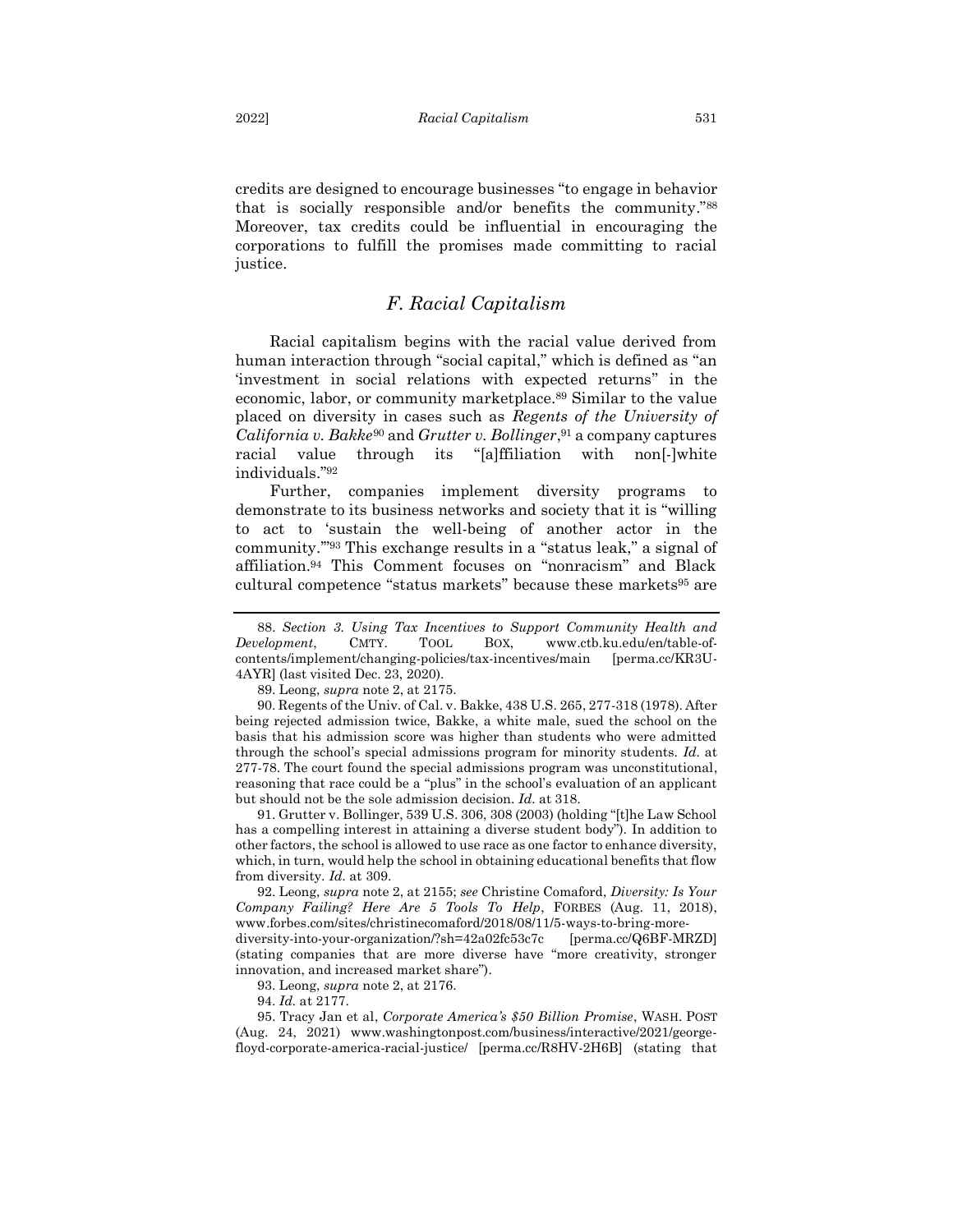credits are designed to encourage businesses "to engage in behavior that is socially responsible and/or benefits the community." 88 Moreover, tax credits could be influential in encouraging the corporations to fulfill the promises made committing to racial justice.

#### <span id="page-13-0"></span>*F. Racial Capitalism*

Racial capitalism begins with the racial value derived from human interaction through "social capital," which is defined as "an 'investment in social relations with expected returns" in the economic, labor, or community marketplace.<sup>89</sup> Similar to the value placed on diversity in cases such as *Regents of the University of California v. Bakke*<sup>90</sup> and *Grutter v. Bollinger*, <sup>91</sup> a company captures racial value through its "[a]ffiliation with non[-]white individuals." 92

Further, companies implement diversity programs to demonstrate to its business networks and society that it is "willing to act to 'sustain the well-being of another actor in the community.'" <sup>93</sup> This exchange results in a "status leak," a signal of affiliation.<sup>94</sup> This Comment focuses on "nonracism" and Black cultural competence "status markets" because these markets<sup>95</sup> are

89. Leong, *supra* note 2, at 2175.

90. Regents of the Univ. of Cal. v. Bakke, 438 U.S. 265, 277-318 (1978). After being rejected admission twice, Bakke, a white male, sued the school on the basis that his admission score was higher than students who were admitted through the school's special admissions program for minority students. *Id.* at 277-78. The court found the special admissions program was unconstitutional, reasoning that race could be a "plus" in the school's evaluation of an applicant but should not be the sole admission decision. *Id.* at 318.

91. Grutter v. Bollinger, 539 U.S. 306, 308 (2003) (holding "[t]he Law School has a compelling interest in attaining a diverse student body"). In addition to other factors, the school is allowed to use race as one factor to enhance diversity, which, in turn, would help the school in obtaining educational benefits that flow from diversity. *Id.* at 309.

92. Leong, *supra* note 2, at 2155; *see* Christine Comaford, *Diversity: Is Your Company Failing? Here Are 5 Tools To Help*, FORBES (Aug. 11, 2018), www.forbes.com/sites/christinecomaford/2018/08/11/5-ways-to-bring-morediversity-into-your-organization/?sh=42a02fc53c7c [perma.cc/Q6BF-MRZD] (stating companies that are more diverse have "more creativity, stronger

innovation, and increased market share").

93. Leong, *supra* note 2, at 2176.

94. *Id.* at 2177.

95. Tracy Jan et al, *Corporate America's \$50 Billion Promise*, WASH. POST (Aug. 24, 2021) www.washingtonpost.com/business/interactive/2021/georgefloyd-corporate-america-racial-justice/ [perma.cc/R8HV-2H6B] (stating that

<sup>88.</sup> *Section 3. Using Tax Incentives to Support Community Health and Development*, CMTY. TOOL BOX, www.ctb.ku.edu/en/table-ofcontents/implement/changing-policies/tax-incentives/main [perma.cc/KR3U-4AYR] (last visited Dec. 23, 2020).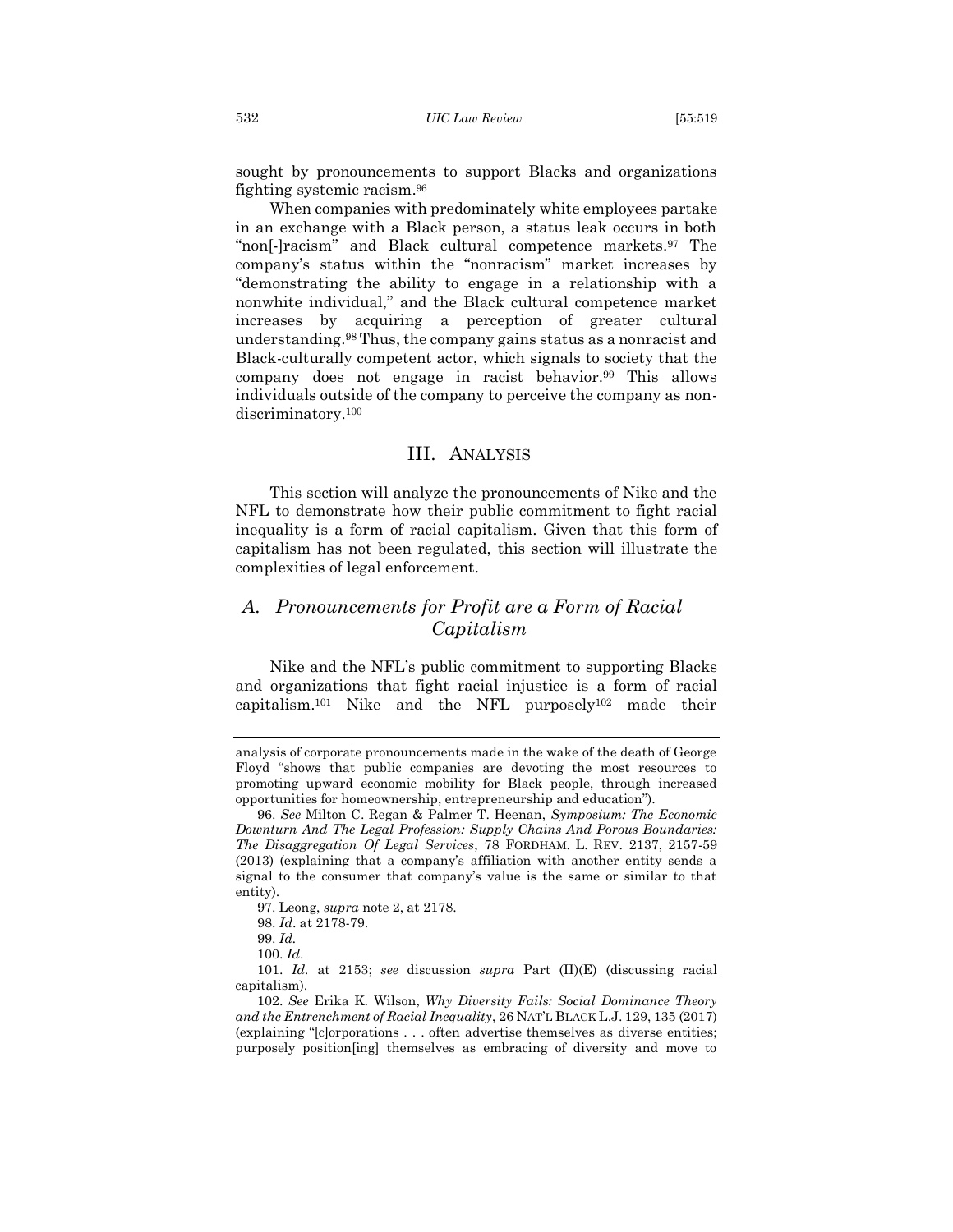sought by pronouncements to support Blacks and organizations fighting systemic racism. 96

When companies with predominately white employees partake in an exchange with a Black person, a status leak occurs in both "non[-]racism" and Black cultural competence markets.<sup>97</sup> The company's status within the "nonracism" market increases by "demonstrating the ability to engage in a relationship with a nonwhite individual," and the Black cultural competence market increases by acquiring a perception of greater cultural understanding.<sup>98</sup> Thus, the company gains status as a nonracist and Black-culturally competent actor, which signals to society that the company does not engage in racist behavior.<sup>99</sup> This allows individuals outside of the company to perceive the company as nondiscriminatory.<sup>100</sup>

#### III. ANALYSIS

<span id="page-14-0"></span>This section will analyze the pronouncements of Nike and the NFL to demonstrate how their public commitment to fight racial inequality is a form of racial capitalism. Given that this form of capitalism has not been regulated, this section will illustrate the complexities of legal enforcement.

## <span id="page-14-1"></span>*A. Pronouncements for Profit are a Form of Racial Capitalism*

Nike and the NFL's public commitment to supporting Blacks and organizations that fight racial injustice is a form of racial capitalism.<sup>101</sup> Nike and the NFL purposely<sup>102</sup> made their

analysis of corporate pronouncements made in the wake of the death of George Floyd "shows that public companies are devoting the most resources to promoting upward economic mobility for Black people, through increased opportunities for homeownership, entrepreneurship and education").

<sup>96.</sup> *See* Milton C. Regan & Palmer T. Heenan, *Symposium: The Economic Downturn And The Legal Profession: Supply Chains And Porous Boundaries: The Disaggregation Of Legal Services*, 78 FORDHAM. L. REV. 2137, 2157-59 (2013) (explaining that a company's affiliation with another entity sends a signal to the consumer that company's value is the same or similar to that entity).

<sup>97.</sup> Leong, *supra* note 2, at 2178.

<sup>98.</sup> *Id*. at 2178-79.

<sup>99.</sup> *Id.*

<sup>100.</sup> *Id*.

<sup>101.</sup> *Id.* at 2153; *see* discussion *supra* Part (II)(E) (discussing racial capitalism).

<sup>102.</sup> *See* Erika K. Wilson, *Why Diversity Fails: Social Dominance Theory and the Entrenchment of Racial Inequality*, 26 NAT'L BLACK L.J. 129, 135 (2017) (explaining "[c]orporations . . . often advertise themselves as diverse entities; purposely position[ing] themselves as embracing of diversity and move to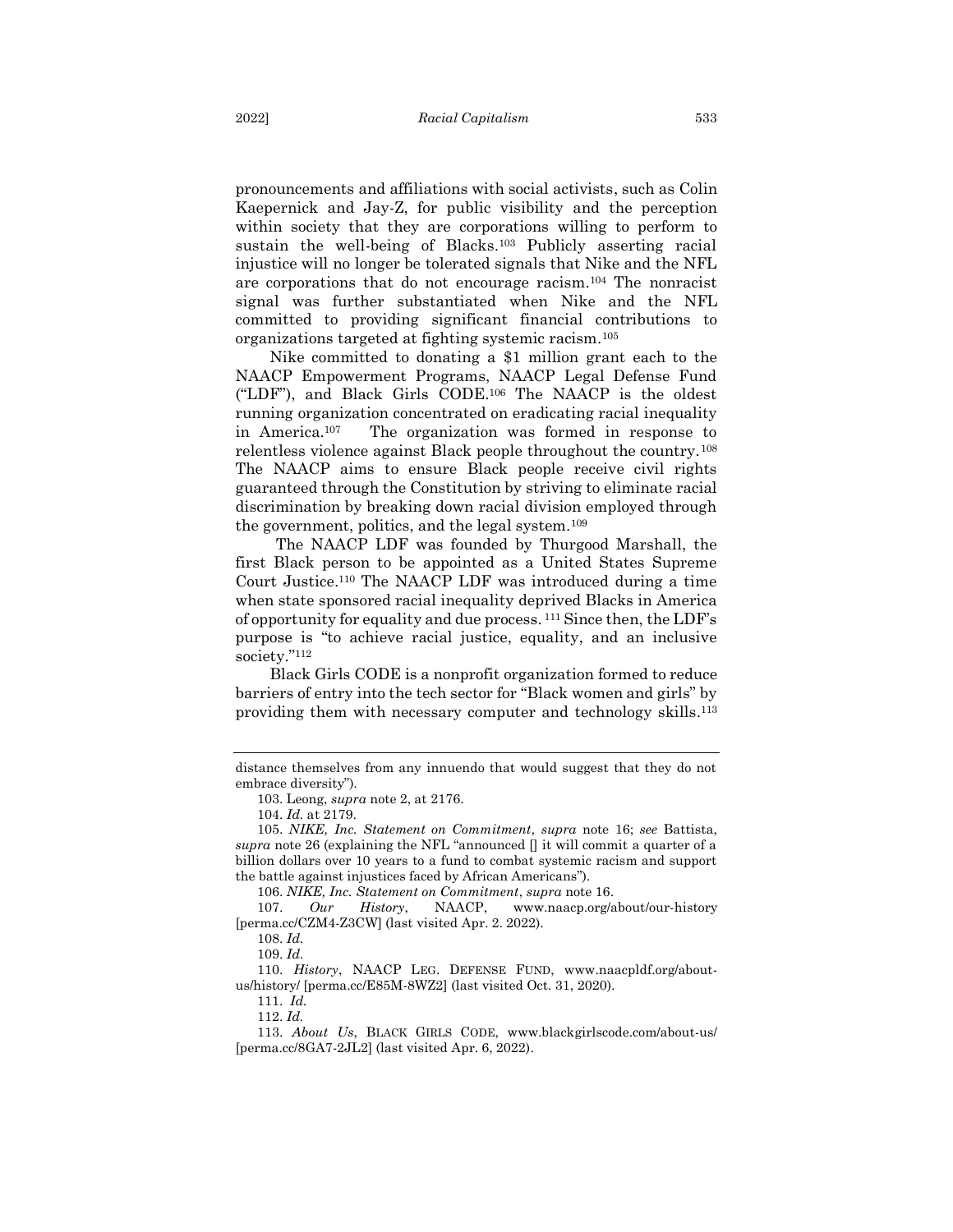pronouncements and affiliations with social activists, such as Colin Kaepernick and Jay-Z, for public visibility and the perception within society that they are corporations willing to perform to sustain the well-being of Blacks.<sup>103</sup> Publicly asserting racial injustice will no longer be tolerated signals that Nike and the NFL are corporations that do not encourage racism.<sup>104</sup> The nonracist signal was further substantiated when Nike and the NFL committed to providing significant financial contributions to organizations targeted at fighting systemic racism.<sup>105</sup>

Nike committed to donating a \$1 million grant each to the NAACP Empowerment Programs, NAACP Legal Defense Fund ("LDF"), and Black Girls CODE.<sup>106</sup> The NAACP is the oldest running organization concentrated on eradicating racial inequality in America.107 The organization was formed in response to relentless violence against Black people throughout the country.<sup>108</sup> The NAACP aims to ensure Black people receive civil rights guaranteed through the Constitution by striving to eliminate racial discrimination by breaking down racial division employed through the government, politics, and the legal system.<sup>109</sup>

The NAACP LDF was founded by Thurgood Marshall, the first Black person to be appointed as a United States Supreme Court Justice.<sup>110</sup> The NAACP LDF was introduced during a time when state sponsored racial inequality deprived Blacks in America of opportunity for equality and due process. <sup>111</sup> Since then, the LDF's purpose is "to achieve racial justice, equality, and an inclusive society." 112

Black Girls CODE is a nonprofit organization formed to reduce barriers of entry into the tech sector for "Black women and girls" by providing them with necessary computer and technology skills. 113

103. Leong, *supra* note 2, at 2176.

111. *Id.*

112. *Id.* 

distance themselves from any innuendo that would suggest that they do not embrace diversity").

<sup>104.</sup> *Id.* at 2179.

<sup>105.</sup> *NIKE, Inc. Statement on Commitment, supra* note 16; *see* Battista, *supra* note 26 (explaining the NFL "announced  $\parallel$  it will commit a quarter of a billion dollars over 10 years to a fund to combat systemic racism and support the battle against injustices faced by African Americans").

<sup>106.</sup> *NIKE, Inc. Statement on Commitment*, *supra* note 16.

<sup>107.</sup> *Our History*, NAACP, www.naacp.org/about/our-history [perma.cc/CZM4-Z3CW] (last visited Apr. 2. 2022).

<sup>108.</sup> *Id.*

<sup>109.</sup> *Id.*

<sup>110.</sup> *History*, NAACP LEG. DEFENSE FUND, www.naacpldf.org/aboutus/history/ [perma.cc/E85M-8WZ2] (last visited Oct. 31, 2020).

<sup>113.</sup> *About Us*, BLACK GIRLS CODE, www.blackgirlscode.com/about-us/ [perma.cc/8GA7-2JL2] (last visited Apr. 6, 2022).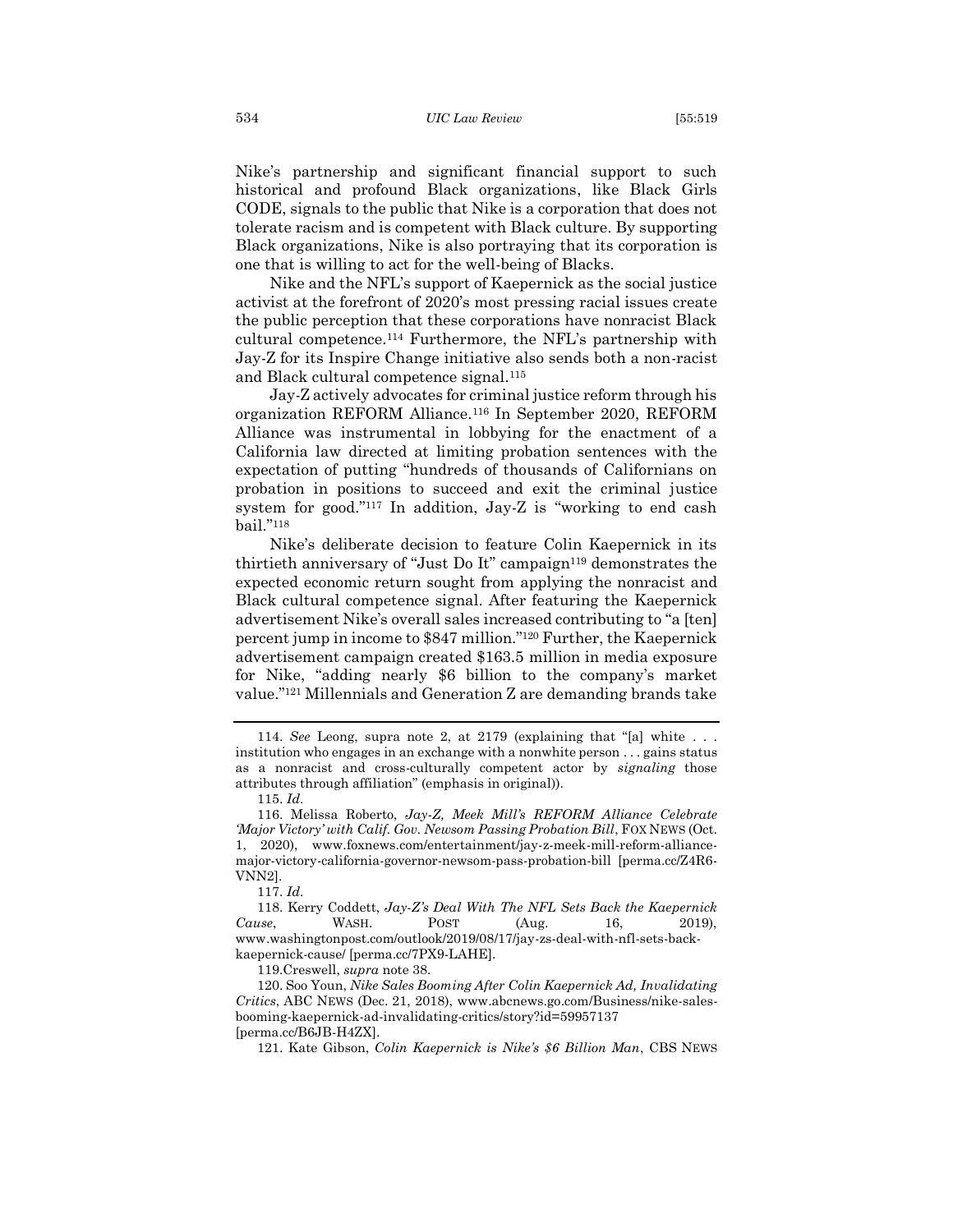Nike's partnership and significant financial support to such historical and profound Black organizations, like Black Girls CODE, signals to the public that Nike is a corporation that does not tolerate racism and is competent with Black culture. By supporting Black organizations, Nike is also portraying that its corporation is one that is willing to act for the well-being of Blacks.

Nike and the NFL's support of Kaepernick as the social justice activist at the forefront of 2020's most pressing racial issues create the public perception that these corporations have nonracist Black cultural competence.<sup>114</sup> Furthermore, the NFL's partnership with Jay-Z for its Inspire Change initiative also sends both a non-racist and Black cultural competence signal.<sup>115</sup>

Jay-Z actively advocates for criminal justice reform through his organization REFORM Alliance.<sup>116</sup> In September 2020, REFORM Alliance was instrumental in lobbying for the enactment of a California law directed at limiting probation sentences with the expectation of putting "hundreds of thousands of Californians on probation in positions to succeed and exit the criminal justice system for good."<sup>117</sup> In addition, Jay-Z is "working to end cash bail."<sup>118</sup>

Nike's deliberate decision to feature Colin Kaepernick in its thirtieth anniversary of "Just Do It" campaign<sup>119</sup> demonstrates the expected economic return sought from applying the nonracist and Black cultural competence signal. After featuring the Kaepernick advertisement Nike's overall sales increased contributing to "a [ten] percent jump in income to \$847 million." <sup>120</sup> Further, the Kaepernick advertisement campaign created \$163.5 million in media exposure for Nike, "adding nearly \$6 billion to the company's market value."<sup>121</sup> Millennials and Generation Z are demanding brands take

119.Creswell, *supra* note 38.

120. Soo Youn, *Nike Sales Booming After Colin Kaepernick Ad, Invalidating Critics*, ABC NEWS (Dec. 21, 2018), www.abcnews.go.com/Business/nike-salesbooming-kaepernick-ad-invalidating-critics/story?id=59957137 [perma.cc/B6JB-H4ZX].

<sup>114.</sup> *See* Leong, supra note 2, at 2179 (explaining that "[a] white . . . institution who engages in an exchange with a nonwhite person . . . gains status as a nonracist and cross-culturally competent actor by *signaling* those attributes through affiliation" (emphasis in original)).

<sup>115.</sup> *Id*.

<sup>116.</sup> Melissa Roberto, *Jay-Z, Meek Mill's REFORM Alliance Celebrate 'Major Victory' with Calif. Gov. Newsom Passing Probation Bill*, FOX NEWS (Oct. 1, 2020), www.foxnews.com/entertainment/jay-z-meek-mill-reform-alliancemajor-victory-california-governor-newsom-pass-probation-bill [perma.cc/Z4R6- VNN2].

<sup>117.</sup> *Id*.

<sup>118.</sup> Kerry Coddett, *Jay-Z's Deal With The NFL Sets Back the Kaepernick Cause*, **WASH.** POST (Aug. 16, 2019), www.washingtonpost.com/outlook/2019/08/17/jay-zs-deal-with-nfl-sets-backkaepernick-cause/ [perma.cc/7PX9-LAHE].

<sup>121.</sup> Kate Gibson, *Colin Kaepernick is Nike's \$6 Billion Man*, CBS NEWS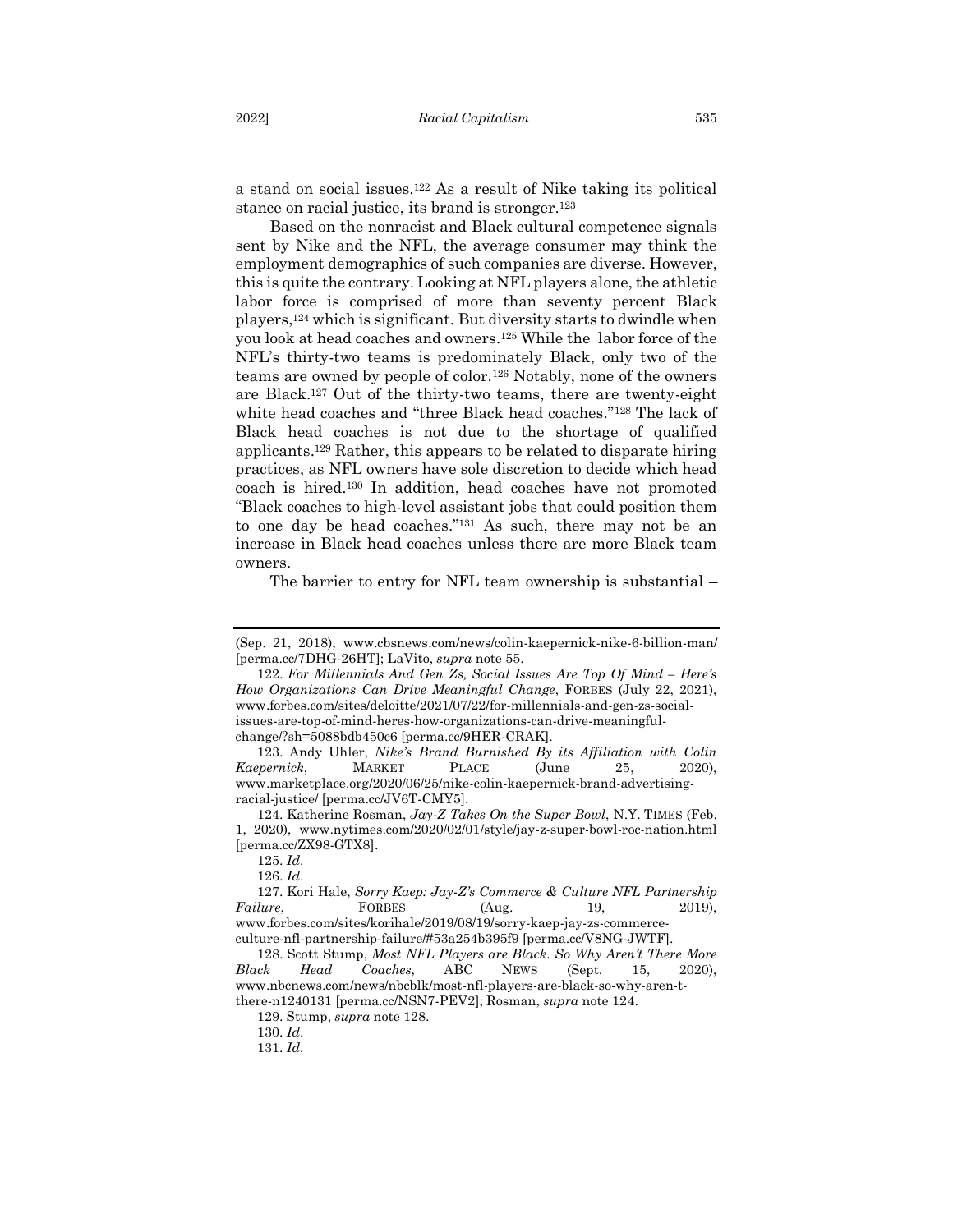a stand on social issues.<sup>122</sup> As a result of Nike taking its political stance on racial justice, its brand is stronger.<sup>123</sup>

Based on the nonracist and Black cultural competence signals sent by Nike and the NFL, the average consumer may think the employment demographics of such companies are diverse. However, this is quite the contrary. Looking at NFL players alone, the athletic labor force is comprised of more than seventy percent Black players,<sup>124</sup> which is significant. But diversity starts to dwindle when you look at head coaches and owners.<sup>125</sup> While the labor force of the NFL's thirty-two teams is predominately Black, only two of the teams are owned by people of color.<sup>126</sup> Notably, none of the owners are Black.<sup>127</sup> Out of the thirty-two teams, there are twenty-eight white head coaches and "three Black head coaches."<sup>128</sup> The lack of Black head coaches is not due to the shortage of qualified applicants.<sup>129</sup> Rather, this appears to be related to disparate hiring practices, as NFL owners have sole discretion to decide which head coach is hired. <sup>130</sup> In addition, head coaches have not promoted "Black coaches to high-level assistant jobs that could position them to one day be head coaches."<sup>131</sup> As such, there may not be an increase in Black head coaches unless there are more Black team owners.

The barrier to entry for NFL team ownership is substantial –

<sup>(</sup>Sep. 21, 2018), www.cbsnews.com/news/colin-kaepernick-nike-6-billion-man/ [perma.cc/7DHG-26HT]; LaVito, *supra* note 55.

<sup>122.</sup> For Millennials And Gen Zs, Social Issues Are Top Of Mind – Here's *How Organizations Can Drive Meaningful Change*, FORBES (July 22, 2021), www.forbes.com/sites/deloitte/2021/07/22/for-millennials-and-gen-zs-socialissues-are-top-of-mind-heres-how-organizations-can-drive-meaningfulchange/?sh=5088bdb450c6 [perma.cc/9HER-CRAK].

<sup>123.</sup> Andy Uhler, *Nike's Brand Burnished By its Affiliation with Colin Kaepernick*, MARKET PLACE (June 25, 2020), www.marketplace.org/2020/06/25/nike-colin-kaepernick-brand-advertisingracial-justice/ [perma.cc/JV6T-CMY5].

<sup>124.</sup> Katherine Rosman, *Jay-Z Takes On the Super Bowl*, N.Y. TIMES (Feb. 1, 2020), www.nytimes.com/2020/02/01/style/jay-z-super-bowl-roc-nation.html [perma.cc/ZX98-GTX8].

<sup>125.</sup> *Id*.

<sup>126.</sup> *Id*.

<sup>127.</sup> Kori Hale, *Sorry Kaep: Jay-Z's Commerce & Culture NFL Partnership Failure*, **FORBES** (Aug. 19, 2019), www.forbes.com/sites/korihale/2019/08/19/sorry-kaep-jay-zs-commerce-

culture-nfl-partnership-failure/#53a254b395f9 [perma.cc/V8NG-JWTF].

<sup>128.</sup> Scott Stump, *Most NFL Players are Black. So Why Aren't There More Black Head Coaches*, ABC NEWS (Sept. 15, 2020), www.nbcnews.com/news/nbcblk/most-nfl-players-are-black-so-why-aren-tthere-n1240131 [perma.cc/NSN7-PEV2]; Rosman, *supra* note 124.

<sup>129.</sup> Stump, *supra* note 128.

<sup>130.</sup> *Id*.

<sup>131.</sup> *Id*.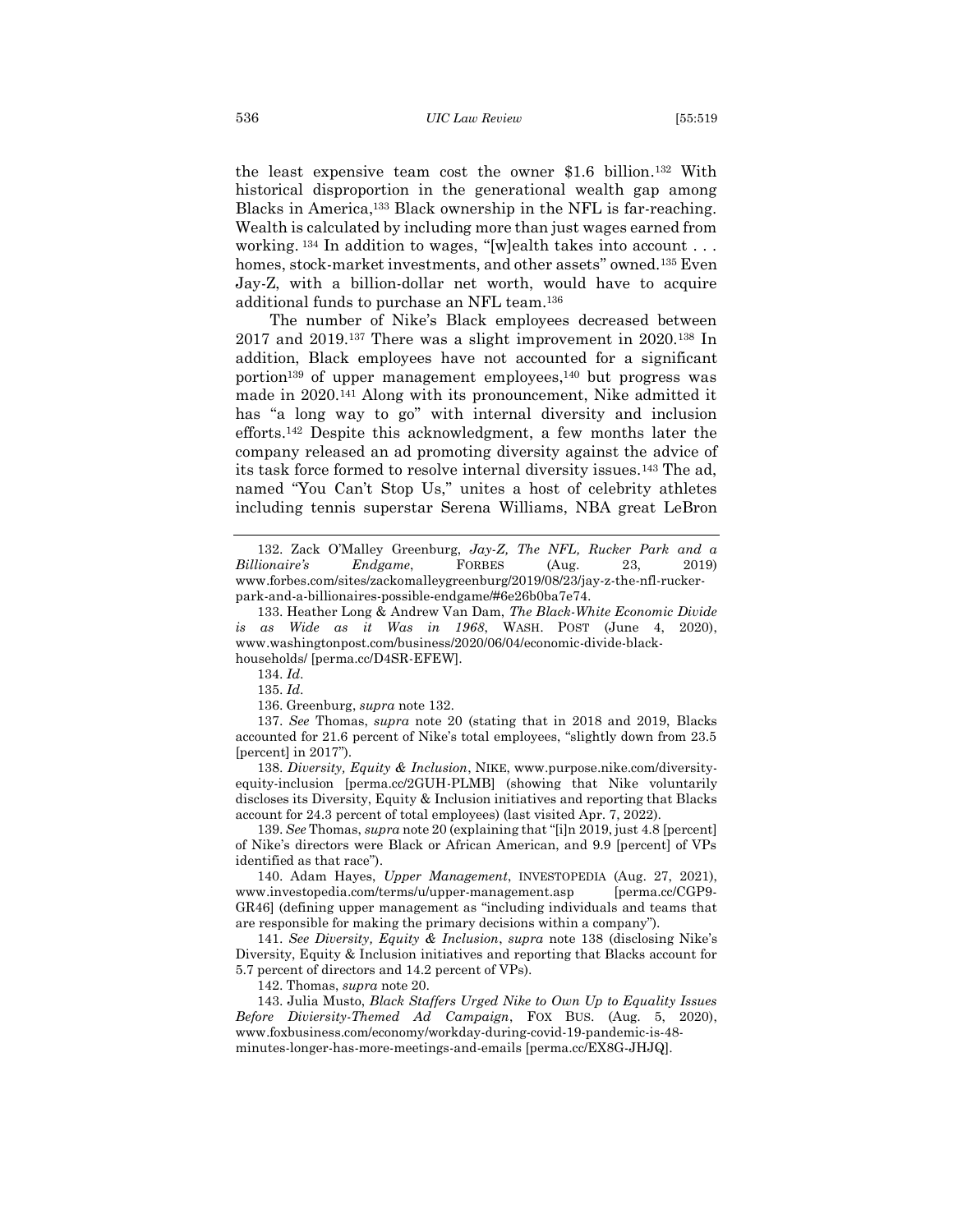the least expensive team cost the owner \$1.6 billion. <sup>132</sup> With historical disproportion in the generational wealth gap among Blacks in America, <sup>133</sup> Black ownership in the NFL is far-reaching. Wealth is calculated by including more than just wages earned from working. <sup>134</sup> In addition to wages, "[w]ealth takes into account . . . homes, stock-market investments, and other assets" owned.<sup>135</sup> Even Jay-Z, with a billion-dollar net worth, would have to acquire additional funds to purchase an NFL team.<sup>136</sup>

The number of Nike's Black employees decreased between 2017 and 2019. <sup>137</sup> There was a slight improvement in 2020. <sup>138</sup> In addition, Black employees have not accounted for a significant portion<sup>139</sup> of upper management employees, <sup>140</sup> but progress was made in 2020. <sup>141</sup> Along with its pronouncement, Nike admitted it has "a long way to go" with internal diversity and inclusion efforts.<sup>142</sup> Despite this acknowledgment, a few months later the company released an ad promoting diversity against the advice of its task force formed to resolve internal diversity issues.<sup>143</sup> The ad, named "You Can't Stop Us," unites a host of celebrity athletes including tennis superstar Serena Williams, NBA great LeBron

134. *Id*.

135. *Id*.

136. Greenburg, *supra* note 132.

137. *See* Thomas, *supra* note 20 (stating that in 2018 and 2019, Blacks accounted for 21.6 percent of Nike's total employees, "slightly down from 23.5 [percent] in 2017").

138. *Diversity, Equity & Inclusion*, NIKE, www.purpose.nike.com/diversityequity-inclusion [perma.cc/2GUH-PLMB] (showing that Nike voluntarily discloses its Diversity, Equity & Inclusion initiatives and reporting that Blacks account for 24.3 percent of total employees) (last visited Apr. 7, 2022).

139. *See* Thomas, *supra* note 20 (explaining that "[i]n 2019, just 4.8 [percent] of Nike's directors were Black or African American, and 9.9 [percent] of VPs identified as that race").

140. Adam Hayes, *Upper Management*, INVESTOPEDIA (Aug. 27, 2021), www.investopedia.com/terms/u/upper-management.asp [perma.cc/CGP9- GR46] (defining upper management as "including individuals and teams that are responsible for making the primary decisions within a company").

141. *See Diversity, Equity & Inclusion*, *supra* note 138 (disclosing Nike's Diversity, Equity & Inclusion initiatives and reporting that Blacks account for 5.7 percent of directors and 14.2 percent of VPs).

142. Thomas, *supra* note 20.

143. Julia Musto, *Black Staffers Urged Nike to Own Up to Equality Issues Before Diviersity-Themed Ad Campaign*, FOX BUS. (Aug. 5, 2020), www.foxbusiness.com/economy/workday-during-covid-19-pandemic-is-48 minutes-longer-has-more-meetings-and-emails [perma.cc/EX8G-JHJQ].

<sup>132</sup>. Zack O'Malley Greenburg, *Jay-Z, The NFL, Rucker Park and a Billionaire's Endgame*, FORBES (Aug. 23, 2019) www.forbes.com/sites/zackomalleygreenburg/2019/08/23/jay-z-the-nfl-ruckerpark-and-a-billionaires-possible-endgame/#6e26b0ba7e74.

<sup>133.</sup> Heather Long & Andrew Van Dam, *The Black-White Economic Divide is as Wide as it Was in 1968*, WASH. POST (June 4, 2020), www.washingtonpost.com/business/2020/06/04/economic-divide-blackhouseholds/ [perma.cc/D4SR-EFEW].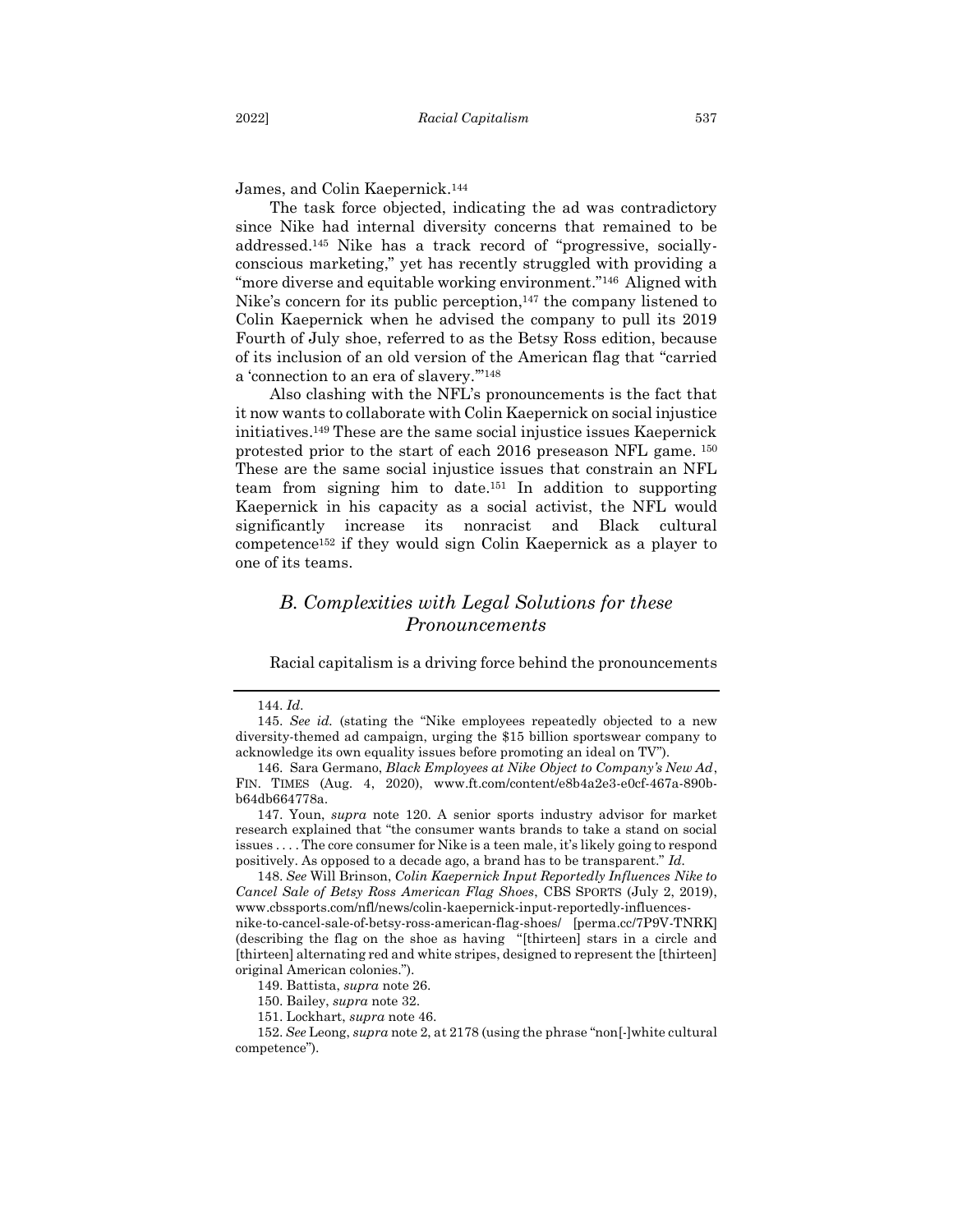James, and Colin Kaepernick.<sup>144</sup>

The task force objected, indicating the ad was contradictory since Nike had internal diversity concerns that remained to be addressed.<sup>145</sup> Nike has a track record of "progressive, sociallyconscious marketing," yet has recently struggled with providing a "more diverse and equitable working environment."146 Aligned with Nike's concern for its public perception,<sup>147</sup> the company listened to Colin Kaepernick when he advised the company to pull its 2019 Fourth of July shoe, referred to as the Betsy Ross edition, because of its inclusion of an old version of the American flag that "carried a 'connection to an era of slavery.'" 148

Also clashing with the NFL's pronouncements is the fact that it now wants to collaborate with Colin Kaepernick on social injustice initiatives. <sup>149</sup> These are the same social injustice issues Kaepernick protested prior to the start of each 2016 preseason NFL game. <sup>150</sup> These are the same social injustice issues that constrain an NFL team from signing him to date.<sup>151</sup> In addition to supporting Kaepernick in his capacity as a social activist, the NFL would significantly increase its nonracist and Black cultural competence<sup>152</sup> if they would sign Colin Kaepernick as a player to one of its teams.

## <span id="page-19-0"></span>*B. Complexities with Legal Solutions for these Pronouncements*

Racial capitalism is a driving force behind the pronouncements

147. Youn, *supra* note 120. A senior sports industry advisor for market research explained that "the consumer wants brands to take a stand on social issues . . . . The core consumer for Nike is a teen male, it's likely going to respond positively. As opposed to a decade ago, a brand has to be transparent." *Id.*

148. *See* Will Brinson, *Colin Kaepernick Input Reportedly Influences Nike to Cancel Sale of Betsy Ross American Flag Shoes*, CBS SPORTS (July 2, 2019), www.cbssports.com/nfl/news/colin-kaepernick-input-reportedly-influencesnike-to-cancel-sale-of-betsy-ross-american-flag-shoes/ [perma.cc/7P9V-TNRK] (describing the flag on the shoe as having "[thirteen] stars in a circle and [thirteen] alternating red and white stripes, designed to represent the [thirteen] original American colonies.").

<sup>144.</sup> *Id*.

<sup>145.</sup> *See id.* (stating the "Nike employees repeatedly objected to a new diversity-themed ad campaign, urging the \$15 billion sportswear company to acknowledge its own equality issues before promoting an ideal on TV").

<sup>146.</sup> Sara Germano, *Black Employees at Nike Object to Company's New Ad*, FIN. TIMES (Aug. 4, 2020), www.ft.com/content/e8b4a2e3-e0cf-467a-890bb64db664778a.

<sup>149.</sup> Battista, *supra* note 26.

<sup>150.</sup> Bailey, *supra* note 32.

<sup>151.</sup> Lockhart, *supra* note 46.

<sup>152.</sup> *See* Leong, *supra* note 2, at 2178 (using the phrase "non[-]white cultural competence").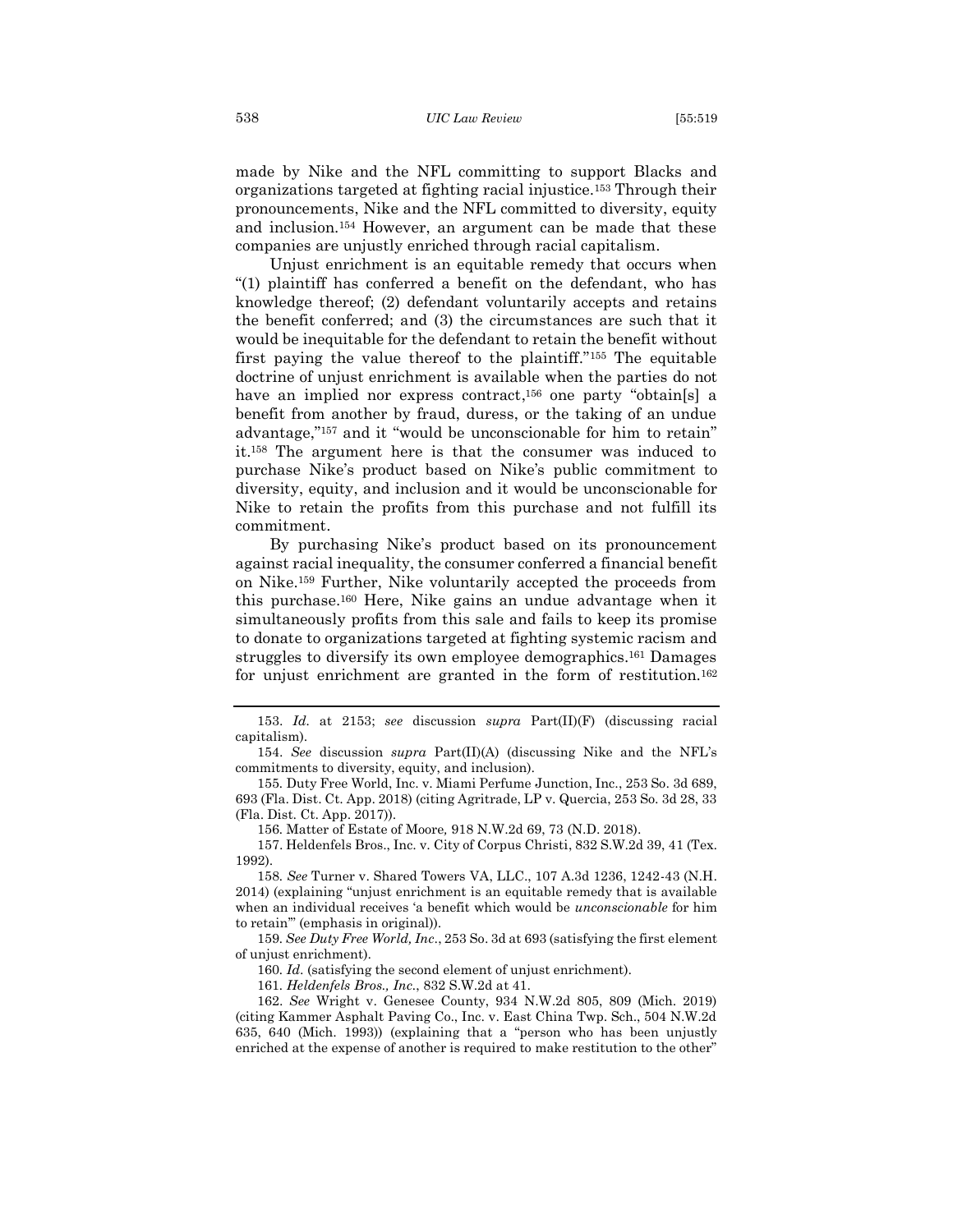made by Nike and the NFL committing to support Blacks and organizations targeted at fighting racial injustice.<sup>153</sup> Through their pronouncements, Nike and the NFL committed to diversity, equity and inclusion.<sup>154</sup> However, an argument can be made that these companies are unjustly enriched through racial capitalism.

Unjust enrichment is an equitable remedy that occurs when "(1) plaintiff has conferred a benefit on the defendant, who has knowledge thereof; (2) defendant voluntarily accepts and retains the benefit conferred; and (3) the circumstances are such that it would be inequitable for the defendant to retain the benefit without first paying the value thereof to the plaintiff." <sup>155</sup> The equitable doctrine of unjust enrichment is available when the parties do not have an implied nor express contract,<sup>156</sup> one party "obtain[s] a benefit from another by fraud, duress, or the taking of an undue advantage," <sup>157</sup> and it "would be unconscionable for him to retain" it.<sup>158</sup> The argument here is that the consumer was induced to purchase Nike's product based on Nike's public commitment to diversity, equity, and inclusion and it would be unconscionable for Nike to retain the profits from this purchase and not fulfill its commitment.

By purchasing Nike's product based on its pronouncement against racial inequality, the consumer conferred a financial benefit on Nike.<sup>159</sup> Further, Nike voluntarily accepted the proceeds from this purchase.<sup>160</sup> Here, Nike gains an undue advantage when it simultaneously profits from this sale and fails to keep its promise to donate to organizations targeted at fighting systemic racism and struggles to diversify its own employee demographics.<sup>161</sup> Damages for unjust enrichment are granted in the form of restitution.<sup>162</sup>

156*.* Matter of Estate of Moore*,* 918 N.W.2d 69, 73 (N.D. 2018).

157. Heldenfels Bros., Inc. v. City of Corpus Christi, 832 S.W.2d 39, 41 (Tex. 1992).

158*. See* Turner v. Shared Towers VA, LLC., 107 A.3d 1236, 1242-43 (N.H. 2014) (explaining "unjust enrichment is an equitable remedy that is available when an individual receives 'a benefit which would be *unconscionable* for him to retain'" (emphasis in original)).

159*. See Duty Free World, Inc*., 253 So. 3d at 693 (satisfying the first element of unjust enrichment).

160*. Id*. (satisfying the second element of unjust enrichment).

161*. Heldenfels Bros., Inc.*, 832 S.W.2d at 41.

162. *See* Wright v. Genesee County, 934 N.W.2d 805, 809 (Mich. 2019) (citing Kammer Asphalt Paving Co., Inc. v. East China Twp. Sch., 504 N.W.2d 635, 640 (Mich. 1993)) (explaining that a "person who has been unjustly enriched at the expense of another is required to make restitution to the other"

<sup>153.</sup> *Id.* at 2153; *see* discussion *supra* Part(II)(F) (discussing racial capitalism).

<sup>154.</sup> *See* discussion *supra* Part(II)(A) (discussing Nike and the NFL's commitments to diversity, equity, and inclusion).

<sup>155</sup>*.* Duty Free World, Inc. v. Miami Perfume Junction, Inc., 253 So. 3d 689, 693 (Fla. Dist. Ct. App. 2018) (citing Agritrade, LP v. Quercia, 253 So. 3d 28, 33 (Fla. Dist. Ct. App. 2017)).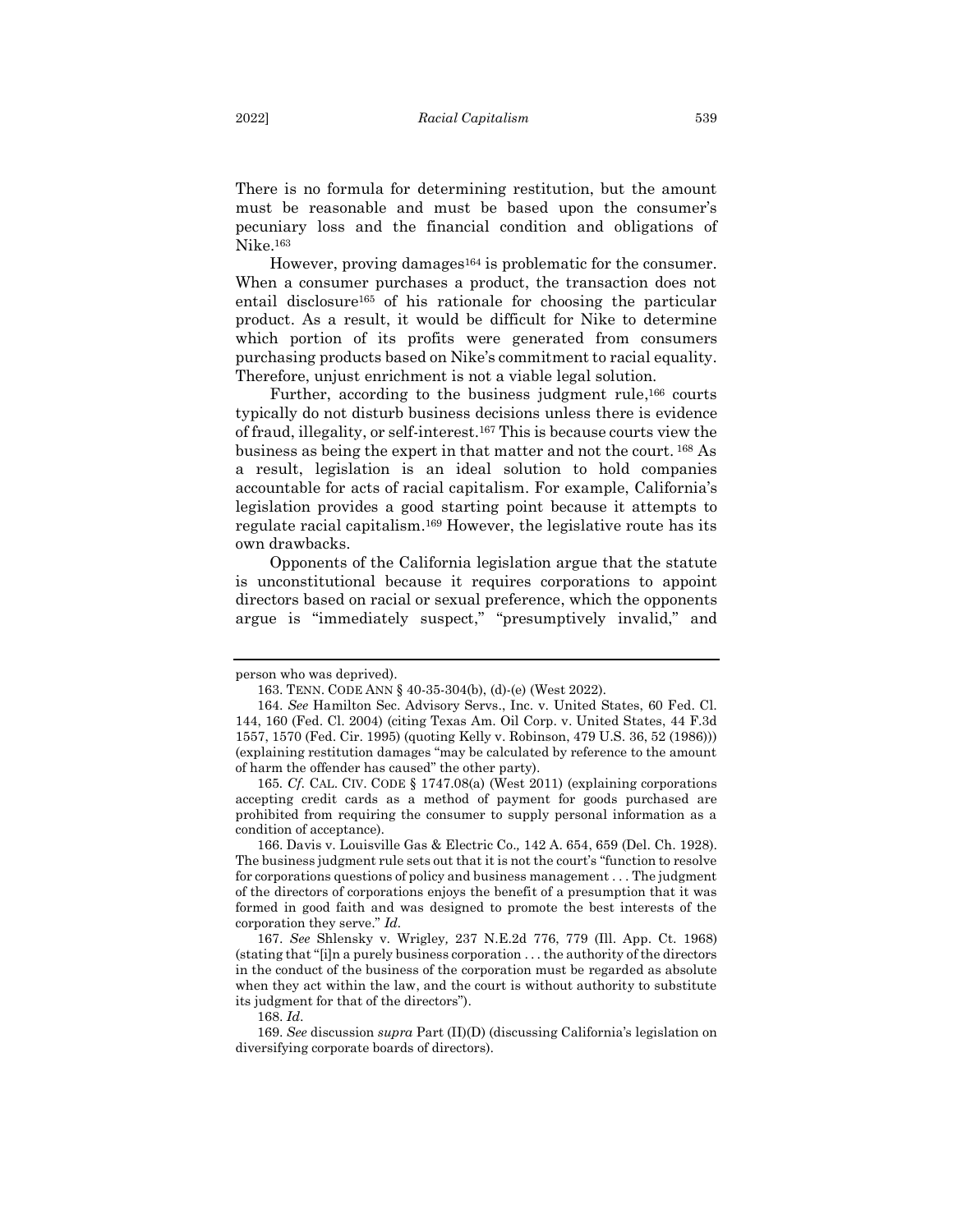There is no formula for determining restitution, but the amount must be reasonable and must be based upon the consumer's pecuniary loss and the financial condition and obligations of Nike.<sup>163</sup>

However, proving damages<sup>164</sup> is problematic for the consumer. When a consumer purchases a product, the transaction does not entail disclosure<sup>165</sup> of his rationale for choosing the particular product. As a result, it would be difficult for Nike to determine which portion of its profits were generated from consumers purchasing products based on Nike's commitment to racial equality. Therefore, unjust enrichment is not a viable legal solution.

Further, according to the business judgment rule,<sup>166</sup> courts typically do not disturb business decisions unless there is evidence of fraud, illegality, or self-interest. <sup>167</sup> This is because courts view the business as being the expert in that matter and not the court. <sup>168</sup>As a result, legislation is an ideal solution to hold companies accountable for acts of racial capitalism. For example, California's legislation provides a good starting point because it attempts to regulate racial capitalism. <sup>169</sup> However, the legislative route has its own drawbacks.

Opponents of the California legislation argue that the statute is unconstitutional because it requires corporations to appoint directors based on racial or sexual preference, which the opponents argue is "immediately suspect," "presumptively invalid," and

person who was deprived).

<sup>163.</sup> TENN. CODE ANN § 40-35-304(b), (d)-(e) (West 2022).

<sup>164.</sup> *See* Hamilton Sec. Advisory Servs., Inc. v. United States, 60 Fed. Cl. 144, 160 (Fed. Cl. 2004) (citing Texas Am. Oil Corp. v. United States, 44 F.3d 1557, 1570 (Fed. Cir. 1995) (quoting Kelly v. Robinson, 479 U.S. 36, 52 (1986))) (explaining restitution damages "may be calculated by reference to the amount of harm the offender has caused" the other party).

<sup>165</sup>*. Cf*. CAL. CIV. CODE § 1747.08(a) (West 2011) (explaining corporations accepting credit cards as a method of payment for goods purchased are prohibited from requiring the consumer to supply personal information as a condition of acceptance).

<sup>166.</sup> Davis v. Louisville Gas & Electric Co.*,* 142 A. 654, 659 (Del. Ch. 1928). The business judgment rule sets out that it is not the court's "function to resolve for corporations questions of policy and business management . . . The judgment of the directors of corporations enjoys the benefit of a presumption that it was formed in good faith and was designed to promote the best interests of the corporation they serve." *Id.* 

<sup>167.</sup> *See* Shlensky v. Wrigley*,* 237 N.E.2d 776, 779 (Ill. App. Ct. 1968) (stating that "[i]n a purely business corporation . . . the authority of the directors in the conduct of the business of the corporation must be regarded as absolute when they act within the law, and the court is without authority to substitute its judgment for that of the directors").

<sup>168.</sup> *Id*.

<sup>169.</sup> *See* discussion *supra* Part (II)(D) (discussing California's legislation on diversifying corporate boards of directors).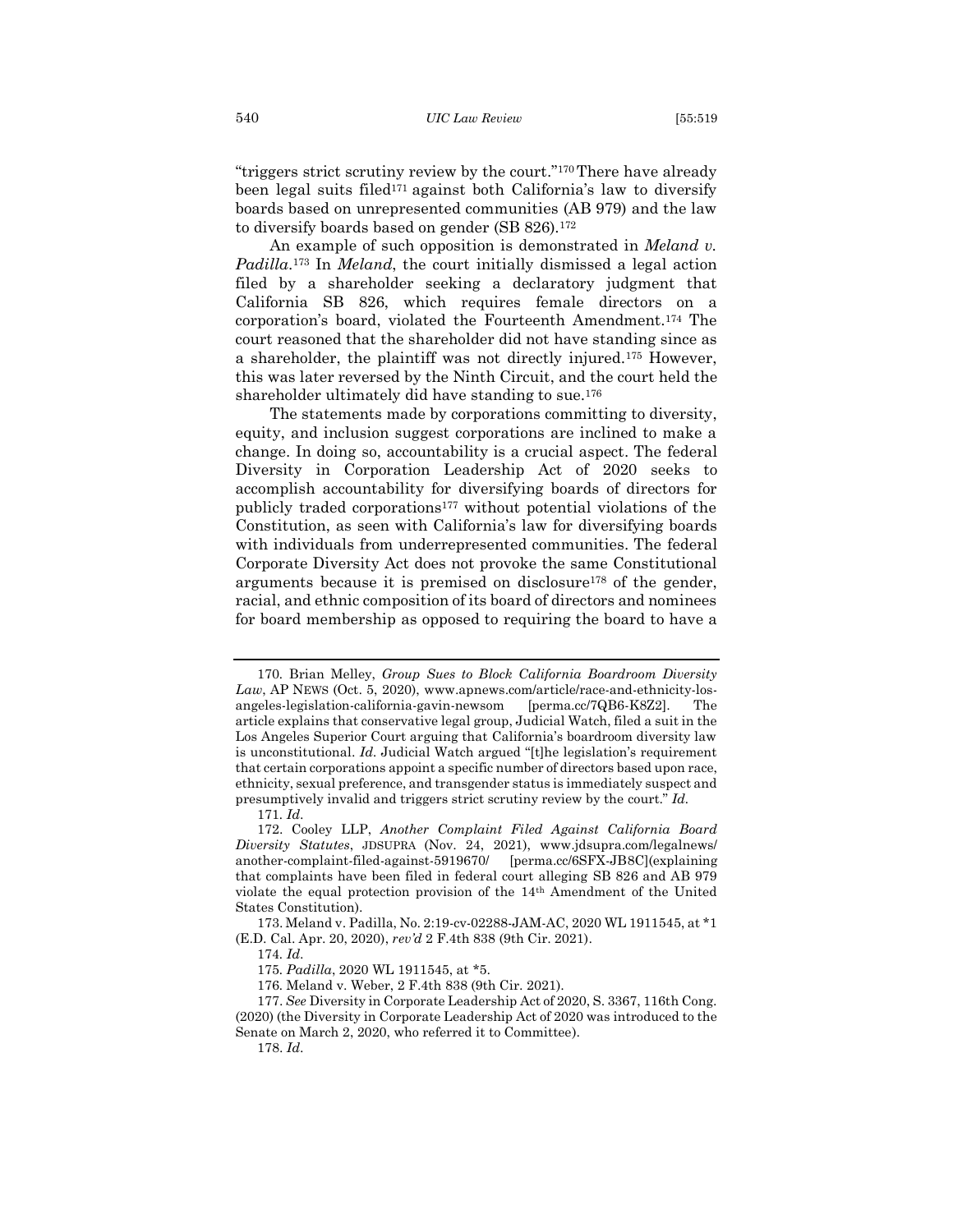"triggers strict scrutiny review by the court."170There have already been legal suits filed<sup>171</sup> against both California's law to diversify boards based on unrepresented communities (AB 979) and the law to diversify boards based on gender (SB 826). 172

An example of such opposition is demonstrated in *Meland v. Padilla*. <sup>173</sup> In *Meland*, the court initially dismissed a legal action filed by a shareholder seeking a declaratory judgment that California SB 826, which requires female directors on a corporation's board, violated the Fourteenth Amendment.<sup>174</sup> The court reasoned that the shareholder did not have standing since as a shareholder, the plaintiff was not directly injured.<sup>175</sup> However, this was later reversed by the Ninth Circuit, and the court held the shareholder ultimately did have standing to sue.<sup>176</sup>

The statements made by corporations committing to diversity, equity, and inclusion suggest corporations are inclined to make a change. In doing so, accountability is a crucial aspect. The federal Diversity in Corporation Leadership Act of 2020 seeks to accomplish accountability for diversifying boards of directors for publicly traded corporations<sup>177</sup> without potential violations of the Constitution, as seen with California's law for diversifying boards with individuals from underrepresented communities. The federal Corporate Diversity Act does not provoke the same Constitutional arguments because it is premised on disclosure<sup>178</sup> of the gender, racial, and ethnic composition of its board of directors and nominees for board membership as opposed to requiring the board to have a

<sup>170</sup>*.* Brian Melley, *Group Sues to Block California Boardroom Diversity Law*, AP NEWS (Oct. 5, 2020), www.apnews.com/article/race-and-ethnicity-losangeles-legislation-california-gavin-newsom [perma.cc/7QB6-K8Z2]. The article explains that conservative legal group, Judicial Watch, filed a suit in the Los Angeles Superior Court arguing that California's boardroom diversity law is unconstitutional. *Id.* Judicial Watch argued "[t]he legislation's requirement that certain corporations appoint a specific number of directors based upon race, ethnicity, sexual preference, and transgender status is immediately suspect and presumptively invalid and triggers strict scrutiny review by the court." *Id.*

<sup>171</sup>*. Id*.

<sup>172.</sup> Cooley LLP, *Another Complaint Filed Against California Board Diversity Statutes*, JDSUPRA (Nov. 24, 2021), www.jdsupra.com/legalnews/ another-complaint-filed-against-5919670/ [perma.cc/6SFX-JB8C](explaining that complaints have been filed in federal court alleging SB 826 and AB 979 violate the equal protection provision of the 14th Amendment of the United States Constitution).

<sup>173.</sup> Meland v. Padilla, No. 2:19-cv-02288-JAM-AC, 2020 WL 1911545, at \*1 (E.D. Cal. Apr. 20, 2020), *rev'd* 2 F.4th 838 (9th Cir. 2021).

<sup>174</sup>*. Id*.

<sup>175</sup>*. Padilla*, 2020 WL 1911545, at \*5.

<sup>176</sup>*.* Meland v. Weber, 2 F.4th 838 (9th Cir. 2021).

<sup>177.</sup> *See* Diversity in Corporate Leadership Act of 2020, S. 3367, 116th Cong. (2020) (the Diversity in Corporate Leadership Act of 2020 was introduced to the Senate on March 2, 2020, who referred it to Committee).

<sup>178.</sup> *Id*.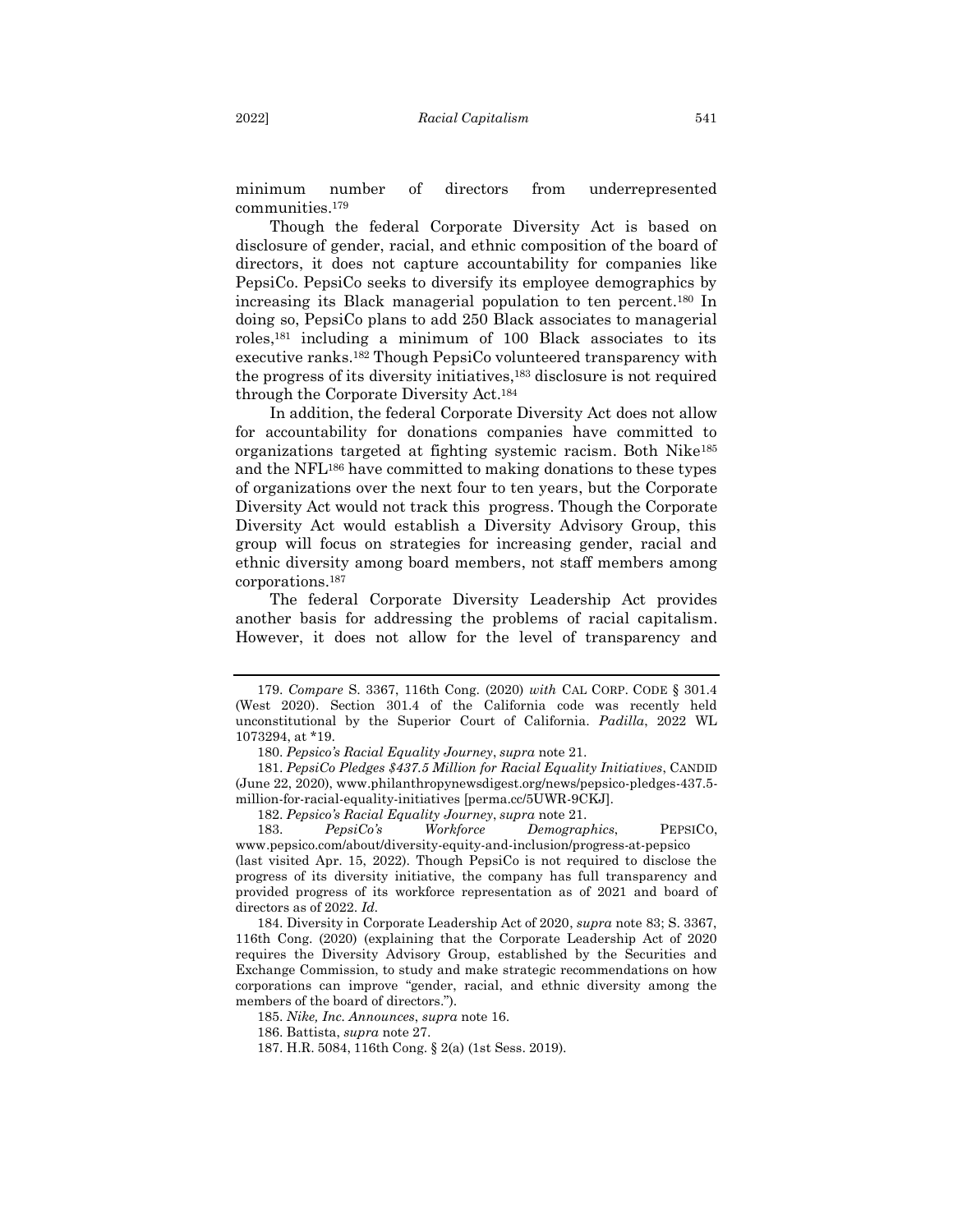minimum number of directors from underrepresented communities.<sup>179</sup>

Though the federal Corporate Diversity Act is based on disclosure of gender, racial, and ethnic composition of the board of directors, it does not capture accountability for companies like PepsiCo. PepsiCo seeks to diversify its employee demographics by increasing its Black managerial population to ten percent. <sup>180</sup> In doing so, PepsiCo plans to add 250 Black associates to managerial roles,<sup>181</sup> including a minimum of 100 Black associates to its executive ranks.<sup>182</sup> Though PepsiCo volunteered transparency with the progress of its diversity initiatives, <sup>183</sup> disclosure is not required through the Corporate Diversity Act. 184

In addition, the federal Corporate Diversity Act does not allow for accountability for donations companies have committed to organizations targeted at fighting systemic racism. Both Nike<sup>185</sup> and the NFL<sup>186</sup> have committed to making donations to these types of organizations over the next four to ten years, but the Corporate Diversity Act would not track this progress. Though the Corporate Diversity Act would establish a Diversity Advisory Group, this group will focus on strategies for increasing gender, racial and ethnic diversity among board members, not staff members among corporations.<sup>187</sup>

The federal Corporate Diversity Leadership Act provides another basis for addressing the problems of racial capitalism. However, it does not allow for the level of transparency and

<sup>179.</sup> *Compare* S. 3367, 116th Cong. (2020) *with* CAL CORP. CODE § 301.4 (West 2020). Section 301.4 of the California code was recently held unconstitutional by the Superior Court of California. *Padilla*, 2022 WL 1073294, at \*19.

<sup>180.</sup> *Pepsico's Racial Equality Journey*, *supra* note 21.

<sup>181.</sup> *PepsiCo Pledges \$437.5 Million for Racial Equality Initiatives*, CANDID (June 22, 2020), www.philanthropynewsdigest.org/news/pepsico-pledges-437.5 million-for-racial-equality-initiatives [perma.cc/5UWR-9CKJ].

<sup>182.</sup> *Pepsico's Racial Equality Journey*, *supra* note 21.

<sup>183.</sup> *PepsiCo's Workforce Demographics*, PEPSICO, www.pepsico.com/about/diversity-equity-and-inclusion/progress-at-pepsico (last visited Apr. 15, 2022). Though PepsiCo is not required to disclose the

progress of its diversity initiative, the company has full transparency and provided progress of its workforce representation as of 2021 and board of directors as of 2022. *Id.* 

<sup>184.</sup> Diversity in Corporate Leadership Act of 2020, *supra* note 83; S. 3367, 116th Cong. (2020) (explaining that the Corporate Leadership Act of 2020 requires the Diversity Advisory Group, established by the Securities and Exchange Commission, to study and make strategic recommendations on how corporations can improve "gender, racial, and ethnic diversity among the members of the board of directors.").

<sup>185.</sup> *Nike, Inc. Announces*, *supra* note 16.

<sup>186.</sup> Battista, *supra* note 27.

<sup>187.</sup> H.R. 5084, 116th Cong. § 2(a) (1st Sess. 2019).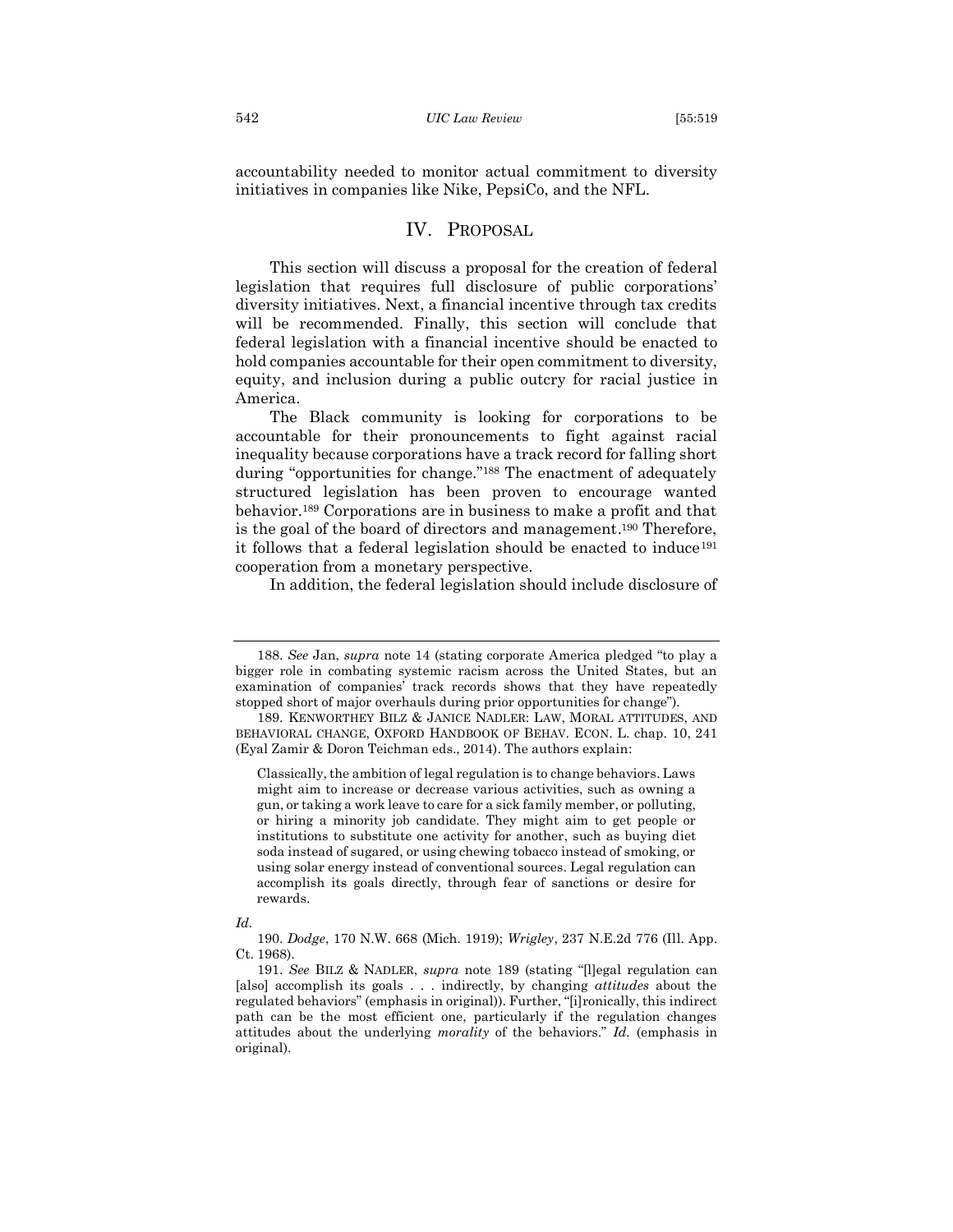accountability needed to monitor actual commitment to diversity initiatives in companies like Nike, PepsiCo, and the NFL.

#### IV. PROPOSAL

<span id="page-24-0"></span>This section will discuss a proposal for the creation of federal legislation that requires full disclosure of public corporations' diversity initiatives. Next, a financial incentive through tax credits will be recommended. Finally, this section will conclude that federal legislation with a financial incentive should be enacted to hold companies accountable for their open commitment to diversity, equity, and inclusion during a public outcry for racial justice in America.

The Black community is looking for corporations to be accountable for their pronouncements to fight against racial inequality because corporations have a track record for falling short during "opportunities for change."<sup>188</sup> The enactment of adequately structured legislation has been proven to encourage wanted behavior.<sup>189</sup> Corporations are in business to make a profit and that is the goal of the board of directors and management. <sup>190</sup> Therefore, it follows that a federal legislation should be enacted to induce<sup>191</sup> cooperation from a monetary perspective.

In addition, the federal legislation should include disclosure of

<sup>188.</sup> *See* Jan, *supra* note 14 (stating corporate America pledged "to play a bigger role in combating systemic racism across the United States, but an examination of companies' track records shows that they have repeatedly stopped short of major overhauls during prior opportunities for change").

<sup>189.</sup> KENWORTHEY BILZ & JANICE NADLER: LAW, MORAL ATTITUDES, AND BEHAVIORAL CHANGE, OXFORD HANDBOOK OF BEHAV. ECON. L. chap. 10, 241 (Eyal Zamir & Doron Teichman eds., 2014). The authors explain:

Classically, the ambition of legal regulation is to change behaviors. Laws might aim to increase or decrease various activities, such as owning a gun, or taking a work leave to care for a sick family member, or polluting, or hiring a minority job candidate. They might aim to get people or institutions to substitute one activity for another, such as buying diet soda instead of sugared, or using chewing tobacco instead of smoking, or using solar energy instead of conventional sources. Legal regulation can accomplish its goals directly, through fear of sanctions or desire for rewards.

*Id.* 

<sup>190.</sup> *Dodge*, 170 N.W. 668 (Mich. 1919); *Wrigley*, 237 N.E.2d 776 (Ill. App. Ct. 1968).

<sup>191.</sup> *See* BILZ & NADLER, *supra* note 189 (stating "[l]egal regulation can [also] accomplish its goals . . . indirectly, by changing *attitudes* about the regulated behaviors" (emphasis in original)). Further, "[i]ronically, this indirect path can be the most efficient one, particularly if the regulation changes attitudes about the underlying *morality* of the behaviors." *Id.* (emphasis in original).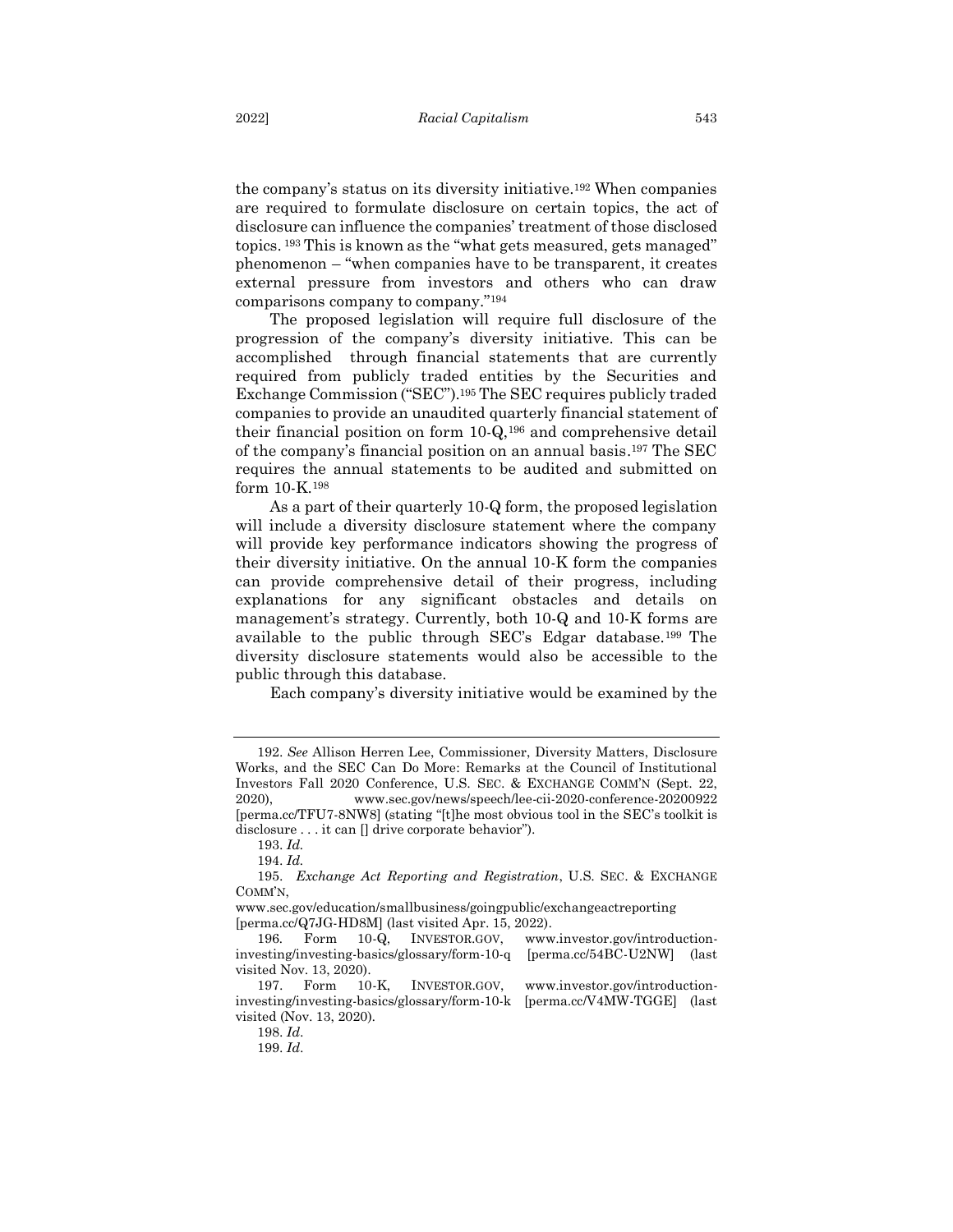the company's status on its diversity initiative.<sup>192</sup> When companies are required to formulate disclosure on certain topics, the act of disclosure can influence the companies' treatment of those disclosed topics. <sup>193</sup> This is known as the "what gets measured, gets managed" phenomenon – "when companies have to be transparent, it creates external pressure from investors and others who can draw comparisons company to company."<sup>194</sup>

The proposed legislation will require full disclosure of the progression of the company's diversity initiative. This can be accomplished through financial statements that are currently required from publicly traded entities by the Securities and Exchange Commission ("SEC").<sup>195</sup> The SEC requires publicly traded companies to provide an unaudited quarterly financial statement of their financial position on form 10-Q, <sup>196</sup> and comprehensive detail of the company's financial position on an annual basis. <sup>197</sup> The SEC requires the annual statements to be audited and submitted on form 10-K.<sup>198</sup>

As a part of their quarterly 10-Q form, the proposed legislation will include a diversity disclosure statement where the company will provide key performance indicators showing the progress of their diversity initiative. On the annual 10-K form the companies can provide comprehensive detail of their progress, including explanations for any significant obstacles and details on management's strategy. Currently, both 10-Q and 10-K forms are available to the public through SEC's Edgar database.<sup>199</sup> The diversity disclosure statements would also be accessible to the public through this database.

Each company's diversity initiative would be examined by the

<sup>192.</sup> *See* Allison Herren Lee, Commissioner, Diversity Matters, Disclosure Works, and the SEC Can Do More: Remarks at the Council of Institutional Investors Fall 2020 Conference, U.S. SEC. & EXCHANGE COMM'N (Sept. 22, 2020), www.sec.gov/news/speech/lee-cii-2020-conference-20200922 [perma.cc/TFU7-8NW8] (stating "[t]he most obvious tool in the SEC's toolkit is disclosure . . . it can [] drive corporate behavior").

<sup>193.</sup> *Id.*

<sup>194.</sup> *Id.*

<sup>195.</sup> *Exchange Act Reporting and Registration*, U.S. SEC. & EXCHANGE COMM'N,

www.sec.gov/education/smallbusiness/goingpublic/exchangeactreporting [perma.cc/Q7JG-HD8M] (last visited Apr. 15, 2022).

<sup>196</sup>*.* Form 10-Q, INVESTOR.GOV, www.investor.gov/introductioninvesting/investing-basics/glossary/form-10-q [perma.cc/54BC-U2NW] (last visited Nov. 13, 2020).

<sup>197.</sup> Form 10-K, INVESTOR.GOV, www.investor.gov/introductioninvesting/investing-basics/glossary/form-10-k [perma.cc/V4MW-TGGE] (last visited (Nov. 13, 2020).

<sup>198.</sup> *Id*.

<sup>199.</sup> *Id*.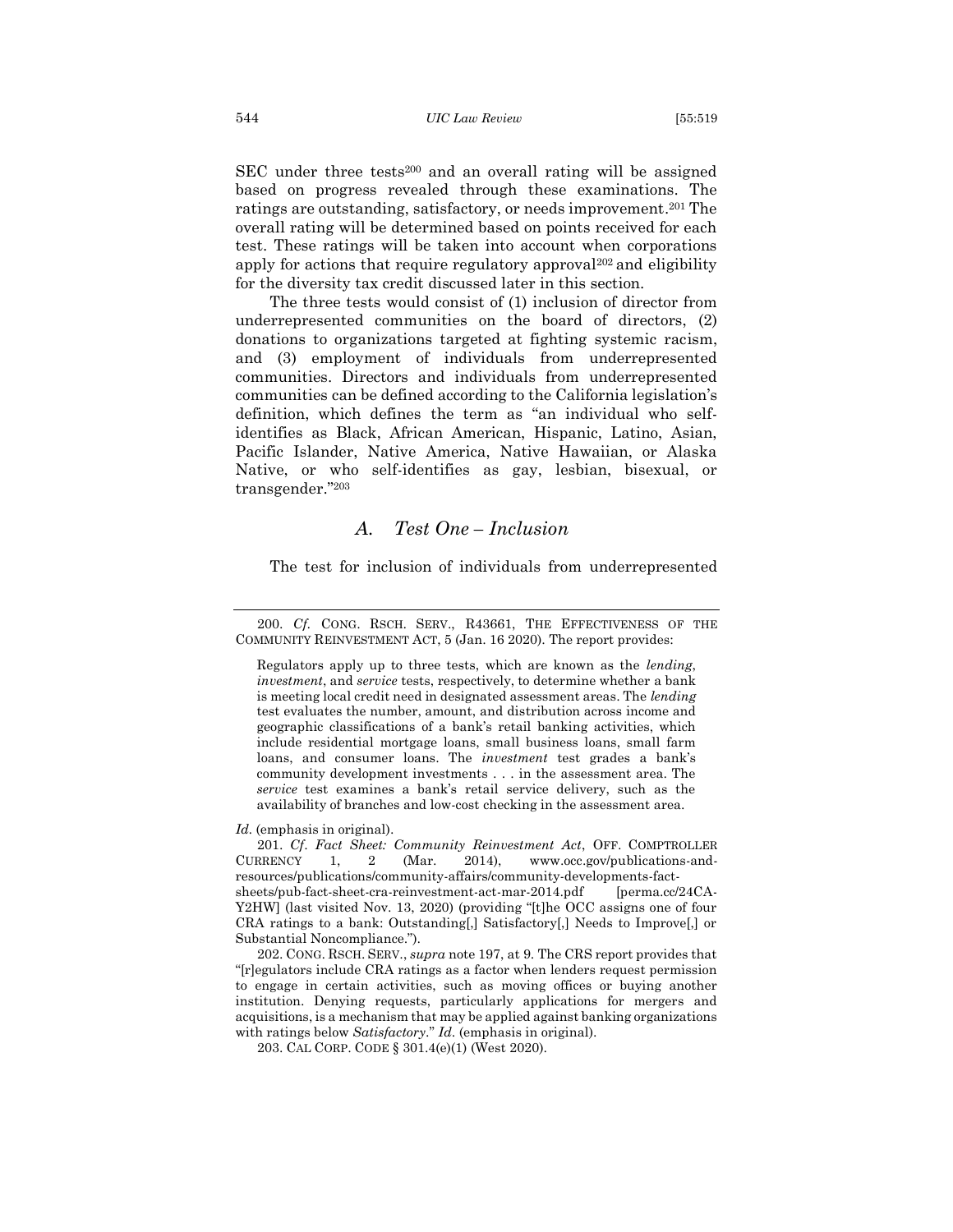SEC under three tests<sup>200</sup> and an overall rating will be assigned based on progress revealed through these examinations. The ratings are outstanding, satisfactory, or needs improvement. <sup>201</sup> The overall rating will be determined based on points received for each test. These ratings will be taken into account when corporations apply for actions that require regulatory approval<sup>202</sup> and eligibility for the diversity tax credit discussed later in this section.

The three tests would consist of (1) inclusion of director from underrepresented communities on the board of directors, (2) donations to organizations targeted at fighting systemic racism, and (3) employment of individuals from underrepresented communities. Directors and individuals from underrepresented communities can be defined according to the California legislation's definition, which defines the term as "an individual who selfidentifies as Black, African American, Hispanic, Latino, Asian, Pacific Islander, Native America, Native Hawaiian, or Alaska Native, or who self-identifies as gay, lesbian, bisexual, or transgender."<sup>203</sup>

#### <span id="page-26-0"></span>*A. Test One – Inclusion*

The test for inclusion of individuals from underrepresented

Regulators apply up to three tests, which are known as the *lending*, *investment*, and *service* tests, respectively, to determine whether a bank is meeting local credit need in designated assessment areas. The *lending* test evaluates the number, amount, and distribution across income and geographic classifications of a bank's retail banking activities, which include residential mortgage loans, small business loans, small farm loans, and consumer loans. The *investment* test grades a bank's community development investments . . . in the assessment area. The *service* test examines a bank's retail service delivery, such as the availability of branches and low-cost checking in the assessment area.

#### *Id.* (emphasis in original).

201. *Cf*. *Fact Sheet: Community Reinvestment Act*, OFF. COMPTROLLER CURRENCY 1, 2 (Mar. 2014), www.occ.gov/publications-andresources/publications/community-affairs/community-developments-factsheets/pub-fact-sheet-cra-reinvestment-act-mar-2014.pdf [perma.cc/24CA-Y2HW] (last visited Nov. 13, 2020) (providing "[t]he OCC assigns one of four CRA ratings to a bank: Outstanding[,] Satisfactory[,] Needs to Improve[,] or Substantial Noncompliance.").

202. CONG. RSCH. SERV., *supra* note 197, at 9. The CRS report provides that "[r]egulators include CRA ratings as a factor when lenders request permission to engage in certain activities, such as moving offices or buying another institution. Denying requests, particularly applications for mergers and acquisitions, is a mechanism that may be applied against banking organizations with ratings below *Satisfactory*." *Id*. (emphasis in original).

203. CAL CORP. CODE § 301.4(e)(1) (West 2020).

<sup>200.</sup> *Cf*. CONG. RSCH. SERV., R43661, THE EFFECTIVENESS OF THE COMMUNITY REINVESTMENT ACT, 5 (Jan. 16 2020). The report provides: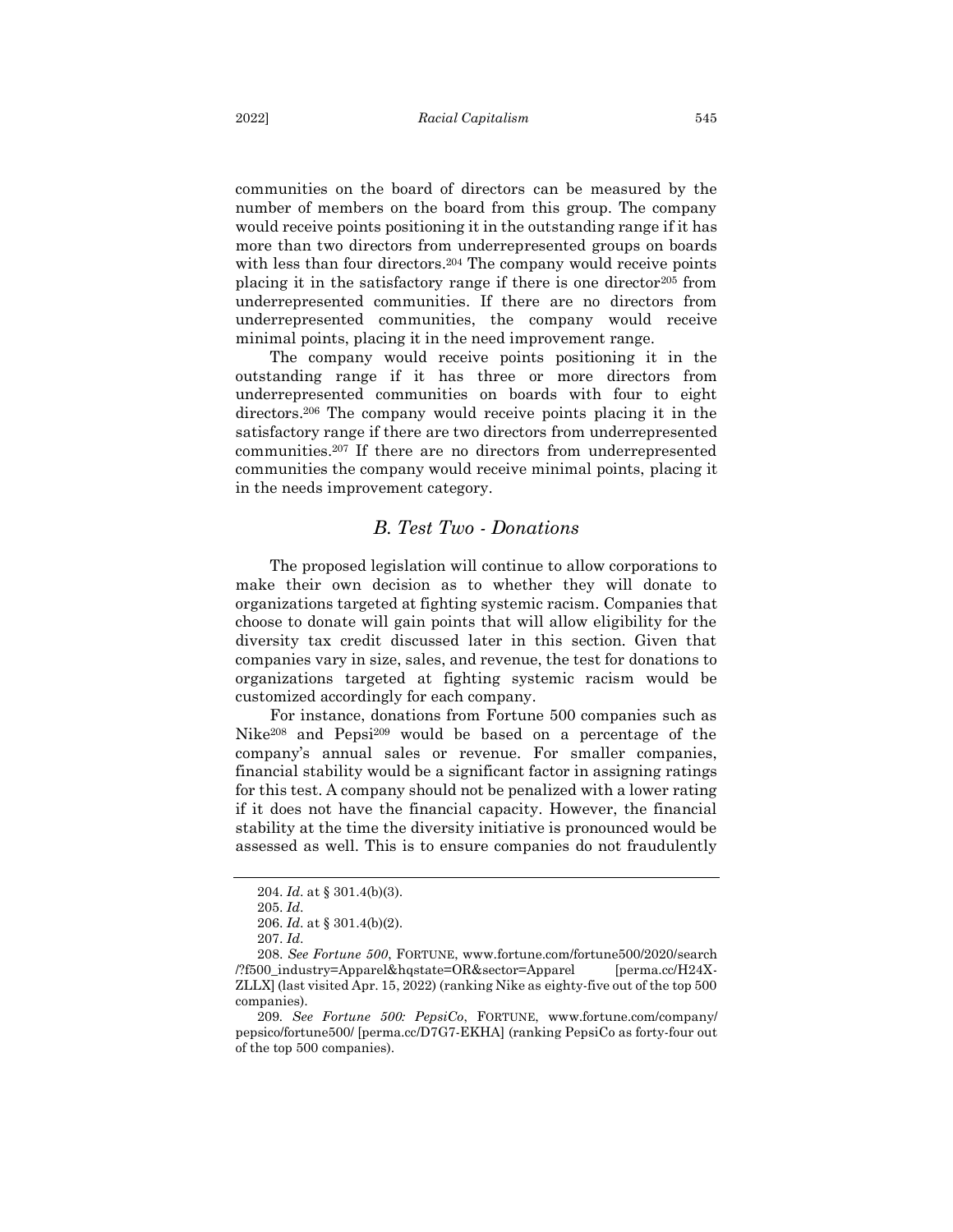communities on the board of directors can be measured by the number of members on the board from this group. The company would receive points positioning it in the outstanding range if it has more than two directors from underrepresented groups on boards with less than four directors.<sup>204</sup> The company would receive points placing it in the satisfactory range if there is one director<sup>205</sup> from underrepresented communities. If there are no directors from underrepresented communities, the company would receive minimal points, placing it in the need improvement range.

The company would receive points positioning it in the outstanding range if it has three or more directors from underrepresented communities on boards with four to eight directors.<sup>206</sup> The company would receive points placing it in the satisfactory range if there are two directors from underrepresented communities.<sup>207</sup> If there are no directors from underrepresented communities the company would receive minimal points, placing it in the needs improvement category.

#### <span id="page-27-0"></span>*B. Test Two - Donations*

The proposed legislation will continue to allow corporations to make their own decision as to whether they will donate to organizations targeted at fighting systemic racism. Companies that choose to donate will gain points that will allow eligibility for the diversity tax credit discussed later in this section. Given that companies vary in size, sales, and revenue, the test for donations to organizations targeted at fighting systemic racism would be customized accordingly for each company.

For instance, donations from Fortune 500 companies such as Nike<sup>208</sup> and Pepsi<sup>209</sup> would be based on a percentage of the company's annual sales or revenue. For smaller companies, financial stability would be a significant factor in assigning ratings for this test. A company should not be penalized with a lower rating if it does not have the financial capacity. However, the financial stability at the time the diversity initiative is pronounced would be assessed as well. This is to ensure companies do not fraudulently

<sup>204.</sup> *Id*. at § 301.4(b)(3).

<sup>205.</sup> *Id*.

<sup>206.</sup> *Id*. at § 301.4(b)(2).

<sup>207.</sup> *Id*.

<sup>208.</sup> *See Fortune 500*, FORTUNE, www.fortune.com/fortune500/2020/search /?f500\_industry=Apparel&hqstate=OR&sector=Apparel [perma.cc/H24X-ZLLX] (last visited Apr. 15, 2022) (ranking Nike as eighty-five out of the top 500 companies).

<sup>209</sup>*. See Fortune 500: PepsiCo*, FORTUNE, www.fortune.com/company/ pepsico/fortune500/ [perma.cc/D7G7-EKHA] (ranking PepsiCo as forty-four out of the top 500 companies).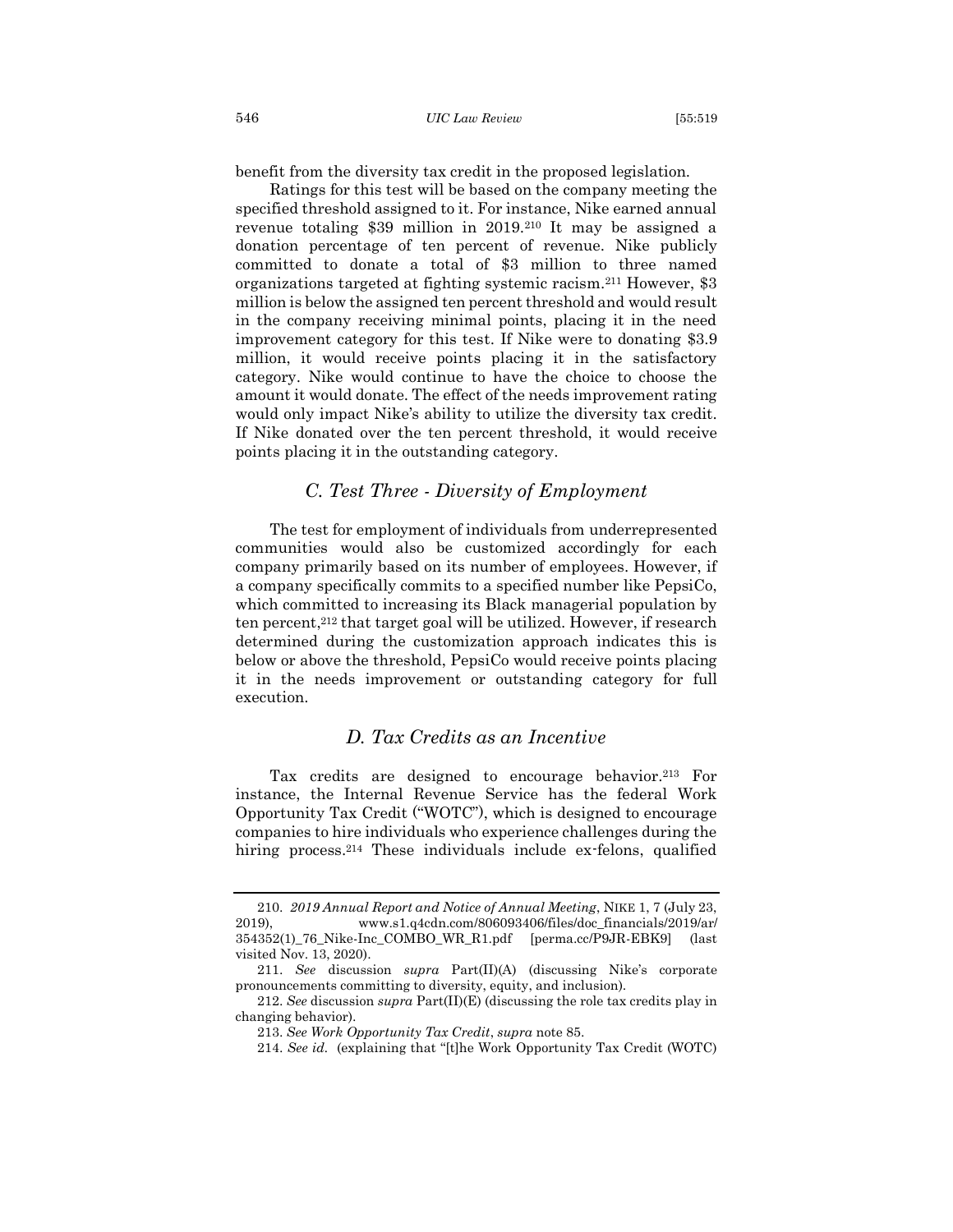benefit from the diversity tax credit in the proposed legislation.

Ratings for this test will be based on the company meeting the specified threshold assigned to it. For instance, Nike earned annual revenue totaling \$39 million in 2019.<sup>210</sup> It may be assigned a donation percentage of ten percent of revenue. Nike publicly committed to donate a total of \$3 million to three named organizations targeted at fighting systemic racism.<sup>211</sup> However, \$3 million is below the assigned ten percent threshold and would result in the company receiving minimal points, placing it in the need improvement category for this test. If Nike were to donating \$3.9 million, it would receive points placing it in the satisfactory category. Nike would continue to have the choice to choose the amount it would donate. The effect of the needs improvement rating would only impact Nike's ability to utilize the diversity tax credit. If Nike donated over the ten percent threshold, it would receive points placing it in the outstanding category.

## <span id="page-28-0"></span>*C. Test Three - Diversity of Employment*

The test for employment of individuals from underrepresented communities would also be customized accordingly for each company primarily based on its number of employees. However, if a company specifically commits to a specified number like PepsiCo, which committed to increasing its Black managerial population by ten percent, <sup>212</sup> that target goal will be utilized. However, if research determined during the customization approach indicates this is below or above the threshold, PepsiCo would receive points placing it in the needs improvement or outstanding category for full execution.

#### <span id="page-28-1"></span>*D. Tax Credits as an Incentive*

Tax credits are designed to encourage behavior.<sup>213</sup> For instance, the Internal Revenue Service has the federal Work Opportunity Tax Credit ("WOTC"), which is designed to encourage companies to hire individuals who experience challenges during the hiring process.<sup>214</sup> These individuals include ex-felons, qualified

<sup>210.</sup> *2019 Annual Report and Notice of Annual Meeting*, NIKE 1, 7 (July 23, 2019), www.s1.q4cdn.com/806093406/files/doc\_financials/2019/ar/ 354352(1)\_76\_Nike-Inc\_COMBO\_WR\_R1.pdf [perma.cc/P9JR-EBK9] (last visited Nov. 13, 2020).

<sup>211.</sup> *See* discussion *supra* Part(II)(A) (discussing Nike's corporate pronouncements committing to diversity, equity, and inclusion).

<sup>212.</sup> *See* discussion *supra* Part(II)(E) (discussing the role tax credits play in changing behavior).

<sup>213.</sup> *See Work Opportunity Tax Credit*, *supra* note 85.

<sup>214.</sup> *See id.* (explaining that "[t]he Work Opportunity Tax Credit (WOTC)